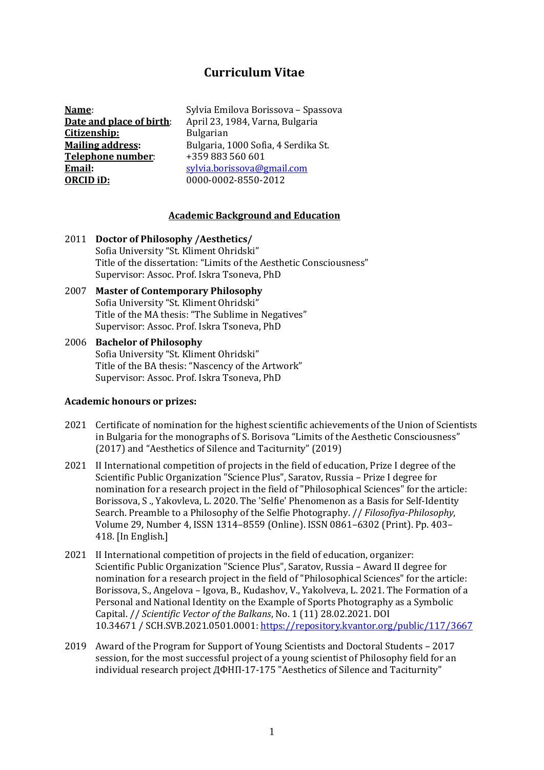# **Curriculum Vitae**

**Name**: **Date and place of birth**: **Citizenship: Mailing address: Telephone number**: **Email: ORCID iD:**

Sylvia Emilova Borissova – Spassova April 23, 1984, Varna, Bulgaria Bulgarian Bulgaria, 1000 Sofia, 4 Serdika St. +359 883 560 601 [sylvia.borissova@gmail.com](mailto:sylvia.borissova@gmail.com) 0000-0002-8550-2012

#### **Academic Background and Education**

- 2011 **Doctor of Philosophy /Aesthetics/** Sofia University "St. Kliment Ohridski" Title of the dissertation: "Limits of the Aesthetic Consciousness" Supervisor: Assoc. Prof. Iskra Tsoneva, PhD
- 2007 **Master of Contemporary Philosophy** Sofia University "St. Kliment Ohridski" Title of the MA thesis: "The Sublime in Negatives" Supervisor: Assoc. Prof. Iskra Tsoneva, PhD
- 2006 **Bachelor of Philosophy** Sofia University "St. Kliment Ohridski" Title of the BA thesis: "Nascency of the Artwork" Supervisor: Assoc. Prof. Iskra Tsoneva, PhD

#### **Academic honours or prizes:**

- 2021 Certificate of nomination for the highest scientific achievements of the Union of Scientists in Bulgaria for the monographs of S. Borisova "Limits of the Aesthetic Consciousness" (2017) and "Aesthetics of Silence and Taciturnity" (2019)
- 2021 II International competition of projects in the field of education, Prize I degree of the Scientific Public Organization "Science Plus", Saratov, Russia – Prize I degree for nomination for a research project in the field of "Philosophical Sciences" for the article: Borissova, S ., Yakovleva, L. 2020. The 'Selfie' Phenomenon as a Basis for Self-Identity Search. Preamble to a Philosophy of the Selfie Photography. // *Filosofiya-Philosophy*, Volume 29, Number 4, ISSN 1314–8559 (Online). ISSN 0861–6302 (Print). Pp. 403– 418. [In English.]
- 2021 II International competition of projects in the field of education, organizer: Scientific Public Organization "Science Plus", Saratov, Russia – Award II degree for nomination for a research project in the field of "Philosophical Sciences" for the article: Borissova, S., Angelova – Igova, B., Kudashov, V., Yakolveva, L. 2021. The Formation of a Personal and National Identity on the Example of Sports Photography as a Symbolic Capital. // *Scientific Vector of the Balkans*, No. 1 (11) 28.02.2021. DOI 10.34671 / SCH.SVB.2021.0501.0001[: https://repository.kvantor.org/public/117/3667](https://repository.kvantor.org/public/117/3667)
- 2019 Award of the Program for Support of Young Scientists and Doctoral Students 2017 session, for the most successful project of a young scientist of Philosophy field for an individual research project ДФНП-17-175 "Aesthetics of Silence and Taciturnity"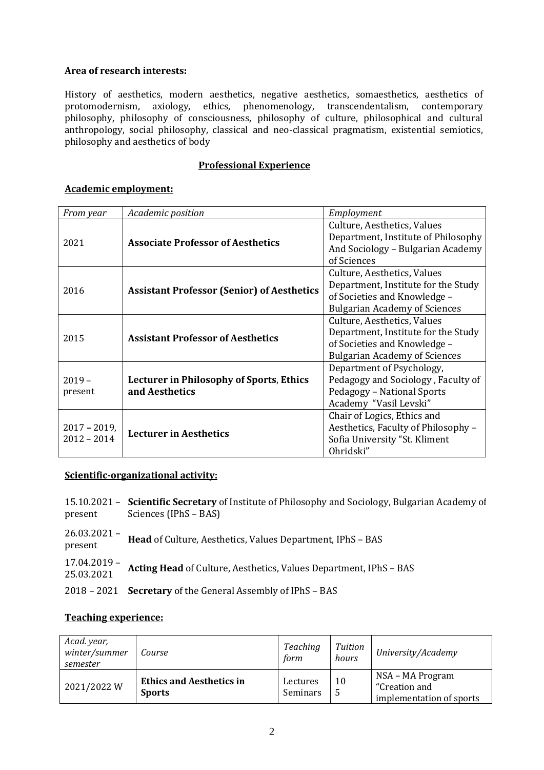### **Area of research interests:**

History of aesthetics, modern aesthetics, negative aesthetics, somaesthetics, aesthetics of protomodernism, axiology, ethics, phenomenology, transcendentalism, contemporary philosophy, philosophy of consciousness, philosophy of culture, philosophical and cultural anthropology, social philosophy, classical and neo-classical pragmatism, existential semiotics, philosophy and aesthetics of body

#### **Professional Experience**

### **Academic employment:**

| From year                        | Academic position                                 | Employment                                                         |  |  |
|----------------------------------|---------------------------------------------------|--------------------------------------------------------------------|--|--|
| 2021                             |                                                   | Culture, Aesthetics, Values<br>Department, Institute of Philosophy |  |  |
|                                  | <b>Associate Professor of Aesthetics</b>          | And Sociology - Bulgarian Academy<br>of Sciences                   |  |  |
| 2016                             |                                                   | Culture, Aesthetics, Values                                        |  |  |
|                                  | <b>Assistant Professor (Senior) of Aesthetics</b> | Department, Institute for the Study                                |  |  |
|                                  |                                                   | of Societies and Knowledge -                                       |  |  |
|                                  |                                                   | <b>Bulgarian Academy of Sciences</b>                               |  |  |
| 2015                             | <b>Assistant Professor of Aesthetics</b>          | Culture, Aesthetics, Values                                        |  |  |
|                                  |                                                   | Department, Institute for the Study                                |  |  |
|                                  |                                                   | of Societies and Knowledge -                                       |  |  |
|                                  |                                                   | <b>Bulgarian Academy of Sciences</b>                               |  |  |
| $2019 -$<br>present              |                                                   | Department of Psychology,                                          |  |  |
|                                  | <b>Lecturer in Philosophy of Sports, Ethics</b>   | Pedagogy and Sociology, Faculty of                                 |  |  |
|                                  | and Aesthetics                                    | Pedagogy - National Sports                                         |  |  |
|                                  |                                                   | Academy "Vasil Levski"                                             |  |  |
| $2017 - 2019$ ,<br>$2012 - 2014$ |                                                   | Chair of Logics, Ethics and                                        |  |  |
|                                  | <b>Lecturer in Aesthetics</b>                     | Aesthetics, Faculty of Philosophy -                                |  |  |
|                                  |                                                   | Sofia University "St. Kliment                                      |  |  |
|                                  |                                                   | Ohridski"                                                          |  |  |

#### **Scientific-organizational activity:**

| present                      | 15.10.2021 – Scientific Secretary of Institute of Philosophy and Sociology, Bulgarian Academy of<br>Sciences (IPhS – BAS) |
|------------------------------|---------------------------------------------------------------------------------------------------------------------------|
| $26.03.2021 -$<br>present    | Head of Culture, Aesthetics, Values Department, IPhS - BAS                                                                |
| $17.04.2019 -$<br>25.03.2021 | Acting Head of Culture, Aesthetics, Values Department, IPhS - BAS                                                         |
|                              | 2018 - 2021 Secretary of the General Assembly of IPhS - BAS                                                               |

#### **Teaching experience:**

| Acad. year,<br>winter/summer<br>semester | Course                                           | Teaching<br>form     | Tuition<br>hours | University/Academy                                            |
|------------------------------------------|--------------------------------------------------|----------------------|------------------|---------------------------------------------------------------|
| 2021/2022W                               | <b>Ethics and Aesthetics in</b><br><b>Sports</b> | Lectures<br>Seminars | 10<br>-5         | NSA – MA Program<br>"Creation and<br>implementation of sports |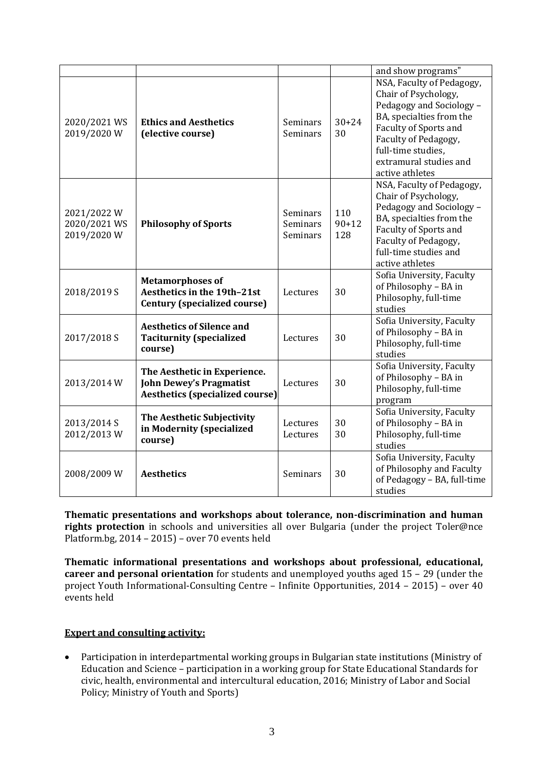|                                          |                                                                                                          |                                  |                         | and show programs"                                                                                                                                                                                                                   |
|------------------------------------------|----------------------------------------------------------------------------------------------------------|----------------------------------|-------------------------|--------------------------------------------------------------------------------------------------------------------------------------------------------------------------------------------------------------------------------------|
| 2020/2021 WS<br>2019/2020W               | <b>Ethics and Aesthetics</b><br>(elective course)                                                        | Seminars<br>Seminars             | $30 + 24$<br>30         | NSA, Faculty of Pedagogy,<br>Chair of Psychology,<br>Pedagogy and Sociology -<br>BA, specialties from the<br><b>Faculty of Sports and</b><br>Faculty of Pedagogy,<br>full-time studies,<br>extramural studies and<br>active athletes |
| 2021/2022W<br>2020/2021 WS<br>2019/2020W | <b>Philosophy of Sports</b>                                                                              | Seminars<br>Seminars<br>Seminars | 110<br>$90 + 12$<br>128 | NSA, Faculty of Pedagogy,<br>Chair of Psychology,<br>Pedagogy and Sociology -<br>BA, specialties from the<br>Faculty of Sports and<br>Faculty of Pedagogy,<br>full-time studies and<br>active athletes                               |
| 2018/2019 S                              | <b>Metamorphoses of</b><br>Aesthetics in the 19th-21st<br><b>Century (specialized course)</b>            | Lectures                         | 30                      | Sofia University, Faculty<br>of Philosophy - BA in<br>Philosophy, full-time<br>studies                                                                                                                                               |
| 2017/2018 S                              | <b>Aesthetics of Silence and</b><br><b>Taciturnity (specialized</b><br>course)                           | Lectures                         | 30                      | Sofia University, Faculty<br>of Philosophy - BA in<br>Philosophy, full-time<br>studies                                                                                                                                               |
| 2013/2014 W                              | The Aesthetic in Experience.<br><b>John Dewey's Pragmatist</b><br><b>Aesthetics (specialized course)</b> | Lectures                         | 30                      | Sofia University, Faculty<br>of Philosophy - BA in<br>Philosophy, full-time<br>program                                                                                                                                               |
| 2013/2014 S<br>2012/2013W                | The Aesthetic Subjectivity<br>in Modernity (specialized<br>course)                                       | Lectures<br>Lectures             | 30<br>30                | Sofia University, Faculty<br>of Philosophy - BA in<br>Philosophy, full-time<br>studies                                                                                                                                               |
| 2008/2009 W                              | <b>Aesthetics</b>                                                                                        | Seminars                         | 30                      | Sofia University, Faculty<br>of Philosophy and Faculty<br>of Pedagogy - BA, full-time<br>studies                                                                                                                                     |

**Thematic presentations and workshops about tolerance, non-discrimination and human rights protection** in schools and universities all over Bulgaria (under the project Toler@nce Platform.bg, 2014 – 2015) – over 70 events held

**Thematic informational presentations and workshops about professional, educational, career and personal orientation** for students and unemployed youths aged 15 – 29 (under the project Youth Informational-Consulting Centre – Infinite Opportunities, 2014 – 2015) – over 40 events held

### **Expert and consulting activity:**

• Participation in interdepartmental working groups in Bulgarian state institutions (Ministry of Education and Science – participation in a working group for State Educational Standards for civic, health, environmental and intercultural education, 2016; Ministry of Labor and Social Policy; Ministry of Youth and Sports)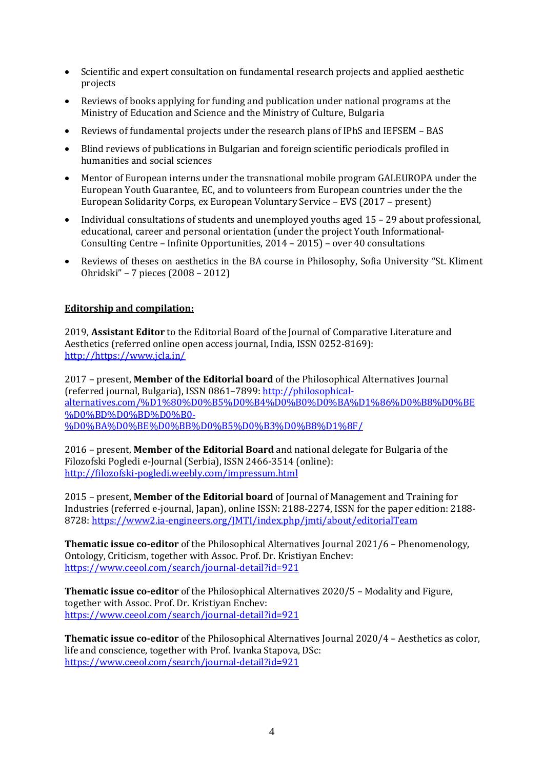- Scientific and expert consultation on fundamental research projects and applied aesthetic projects
- Reviews of books applying for funding and publication under national programs at the Ministry of Education and Science and the Ministry of Culture, Bulgaria
- Reviews of fundamental projects under the research plans of IPhS and IEFSEM BAS
- Blind reviews of publications in Bulgarian and foreign scientific periodicals profiled in humanities and social sciences
- Mentor of European interns under the transnational mobile program GALEUROPA under the European Youth Guarantee, EC, and to volunteers from European countries under the the European Solidarity Corps, ex European Voluntary Service – EVS (2017 – present)
- Individual consultations of students and unemploved vouths aged 15 29 about professional. educational, career and personal orientation (under the project Youth Informational-Consulting Centre – Infinite Opportunities, 2014 – 2015) – over 40 consultations
- Reviews of theses on aesthetics in the BA course in Philosophy, Sofia University "St. Kliment Ohridski" – 7 pieces (2008 – 2012)

### **Editorship and compilation:**

2019, **Assistant Editor** to the Editorial Board of the Journal of Comparative Literature and Aesthetics (referred online open access journal, India, ISSN 0252-8169): [http://https://www.jcla.in/](http://https/www.jcla.in/)

2017 – present, **Member of the Editorial board** of the Philosophical Alternatives Journal (referred journal, Bulgaria), ISSN 0861–7899[: http://philosophical](http://philosophical-alternatives.com/%D1%80%D0%B5%D0%B4%D0%B0%D0%BA%D1%86%D0%B8%D0%BE%D0%BD%D0%BD%D0%B0-%D0%BA%D0%BE%D0%BB%D0%B5%D0%B3%D0%B8%D1%8F/)[alternatives.com/%D1%80%D0%B5%D0%B4%D0%B0%D0%BA%D1%86%D0%B8%D0%BE](http://philosophical-alternatives.com/%D1%80%D0%B5%D0%B4%D0%B0%D0%BA%D1%86%D0%B8%D0%BE%D0%BD%D0%BD%D0%B0-%D0%BA%D0%BE%D0%BB%D0%B5%D0%B3%D0%B8%D1%8F/) [%D0%BD%D0%BD%D0%B0-](http://philosophical-alternatives.com/%D1%80%D0%B5%D0%B4%D0%B0%D0%BA%D1%86%D0%B8%D0%BE%D0%BD%D0%BD%D0%B0-%D0%BA%D0%BE%D0%BB%D0%B5%D0%B3%D0%B8%D1%8F/) [%D0%BA%D0%BE%D0%BB%D0%B5%D0%B3%D0%B8%D1%8F/](http://philosophical-alternatives.com/%D1%80%D0%B5%D0%B4%D0%B0%D0%BA%D1%86%D0%B8%D0%BE%D0%BD%D0%BD%D0%B0-%D0%BA%D0%BE%D0%BB%D0%B5%D0%B3%D0%B8%D1%8F/) 

2016 – present, **Member of the Editorial Board** and national delegate for Bulgaria of the Filozofski Pogledi e-Journal (Serbia), ISSN 2466-3514 (online): <http://filozofski-pogledi.weebly.com/impressum.html>

2015 – present, **Member of the Editorial board** of Journal of Management and Training for Industries (referred e-journal, Japan), online ISSN: 2188-2274, ISSN for the paper edition: 2188- 8728[: https://www2.ia-engineers.org/JMTI/index.php/jmti/about/editorialTeam](https://www2.ia-engineers.org/JMTI/index.php/jmti/about/editorialTeam)

**Thematic issue co-editor** of the Philosophical Alternatives Journal 2021/6 – Phenomenology, Ontology, Criticism, together with Assoc. Prof. Dr. Kristiyan Enchev: <https://www.ceeol.com/search/journal-detail?id=921>

**Thematic issue co-editor** of the Philosophical Alternatives 2020/5 – Modality and Figure, together with Assoc. Prof. Dr. Kristiyan Enchev: <https://www.ceeol.com/search/journal-detail?id=921>

**Thematic issue co-editor** of the Philosophical Alternatives Journal 2020/4 – Aesthetics as color, life and conscience, together with Prof. Ivanka Stapova, DSc: <https://www.ceeol.com/search/journal-detail?id=921>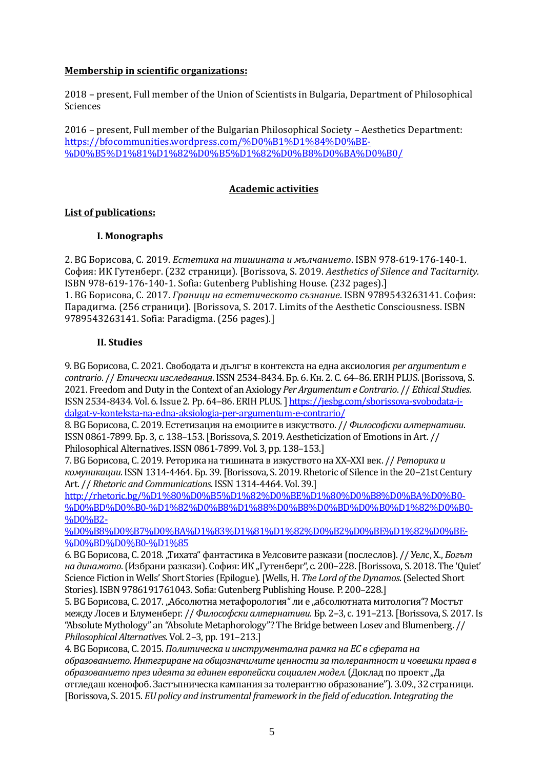### **Membership in scientific organizations:**

2018 – present, Full member of the Union of Scientists in Bulgaria, Department of Philosophical Sciences

2016 – present, Full member of the Bulgarian Philosophical Society – Aesthetics Department: [https://bfocommunities.wordpress.com/%D0%B1%D1%84%D0%BE-](https://bfocommunities.wordpress.com/%D0%B1%D1%84%D0%BE-%D0%B5%D1%81%D1%82%D0%B5%D1%82%D0%B8%D0%BA%D0%B0/) [%D0%B5%D1%81%D1%82%D0%B5%D1%82%D0%B8%D0%BA%D0%B0/](https://bfocommunities.wordpress.com/%D0%B1%D1%84%D0%BE-%D0%B5%D1%81%D1%82%D0%B5%D1%82%D0%B8%D0%BA%D0%B0/)

### **Academic activities**

#### **List of publications:**

#### **I. Monographs**

2. BG Борисова, С. 2019. *Естетика на тишината и мълчанието*. ISBN 978-619-176-140-1. София: ИК Гутенберг. (232 страници). [Borissova, S. 2019. *Aesthetics of Silence and Taciturnity.* ISBN 978-619-176-140-1. Sofia: Gutenberg Publishing House. (232 pages).] 1. BG Борисова, С. 2017. *Граници на естетическото съзнание*. ISBN 9789543263141. София: Парадигма. (256 страници). [Borissova, S. 2017. Limits of the Aesthetic Consciousness. ISBN 9789543263141. Sofia: Paradigma. (256 pages).]

#### **II. Studies**

9. BG Борисова, С. 2021. Свободата и дългът в контекста на една аксиология *per argumentum e contrario*. // *Етически изследвания*. ISSN 2534-8434. Бр. 6. Кн. 2. С. 64–86. ERIH PLUS.[Borissova, S. 2021. Freedom andDuty in the Context of an Axiology *Per Argumentum e Contrario*. // *Ethical Studies*. ISSN 2534-8434. Vol. 6. Issue 2. Pp. 64–86. ERIH PLUS.] [https://jesbg.com/sborissova-svobodata-i](https://jesbg.com/sborissova-svobodata-i-dalgat-v-konteksta-na-edna-aksiologia-per-argumentum-e-contrario/)[dalgat-v-konteksta-na-edna-aksiologia-per-argumentum-e-contrario/](https://jesbg.com/sborissova-svobodata-i-dalgat-v-konteksta-na-edna-aksiologia-per-argumentum-e-contrario/)

8. BG Борисова, С. 2019. Естетизация на емоциите в изкуството. // *Философски алтернативи*. ISSN 0861-7899. Бр. 3, с. 138–153.[Borissova, S. 2019. Aestheticization of Emotions in Art. // Philosophical Alternatives. ISSN 0861-7899. Vol. 3, pp. 138–153.]

7. BG Борисова, С. 2019. Реторика на тишината в изкуството на ХХ–ХХІ век. // *Реторика и комуникации*. ISSN 1314-4464. Бр. 39. [Borissova, S. 2019. Rhetoric of Silence in the 20–21st Century Art. // *Rhetoric and Communications*. ISSN 1314-4464. Vol. 39.]

[http://rhetoric.bg/%D1%80%D0%B5%D1%82%D0%BE%D1%80%D0%B8%D0%BA%D0%B0-](http://rhetoric.bg/%D1%80%D0%B5%D1%82%D0%BE%D1%80%D0%B8%D0%BA%D0%B0-%D0%BD%D0%B0-%D1%82%D0%B8%D1%88%D0%B8%D0%BD%D0%B0%D1%82%D0%B0-%D0%B2-%D0%B8%D0%B7%D0%BA%D1%83%D1%81%D1%82%D0%B2%D0%BE%D1%82%D0%BE-%D0%BD%D0%B0-%D1%85) [%D0%BD%D0%B0-%D1%82%D0%B8%D1%88%D0%B8%D0%BD%D0%B0%D1%82%D0%B0-](http://rhetoric.bg/%D1%80%D0%B5%D1%82%D0%BE%D1%80%D0%B8%D0%BA%D0%B0-%D0%BD%D0%B0-%D1%82%D0%B8%D1%88%D0%B8%D0%BD%D0%B0%D1%82%D0%B0-%D0%B2-%D0%B8%D0%B7%D0%BA%D1%83%D1%81%D1%82%D0%B2%D0%BE%D1%82%D0%BE-%D0%BD%D0%B0-%D1%85) [%D0%B2-](http://rhetoric.bg/%D1%80%D0%B5%D1%82%D0%BE%D1%80%D0%B8%D0%BA%D0%B0-%D0%BD%D0%B0-%D1%82%D0%B8%D1%88%D0%B8%D0%BD%D0%B0%D1%82%D0%B0-%D0%B2-%D0%B8%D0%B7%D0%BA%D1%83%D1%81%D1%82%D0%B2%D0%BE%D1%82%D0%BE-%D0%BD%D0%B0-%D1%85)

[%D0%B8%D0%B7%D0%BA%D1%83%D1%81%D1%82%D0%B2%D0%BE%D1%82%D0%BE-](http://rhetoric.bg/%D1%80%D0%B5%D1%82%D0%BE%D1%80%D0%B8%D0%BA%D0%B0-%D0%BD%D0%B0-%D1%82%D0%B8%D1%88%D0%B8%D0%BD%D0%B0%D1%82%D0%B0-%D0%B2-%D0%B8%D0%B7%D0%BA%D1%83%D1%81%D1%82%D0%B2%D0%BE%D1%82%D0%BE-%D0%BD%D0%B0-%D1%85) [%D0%BD%D0%B0-%D1%85](http://rhetoric.bg/%D1%80%D0%B5%D1%82%D0%BE%D1%80%D0%B8%D0%BA%D0%B0-%D0%BD%D0%B0-%D1%82%D0%B8%D1%88%D0%B8%D0%BD%D0%B0%D1%82%D0%B0-%D0%B2-%D0%B8%D0%B7%D0%BA%D1%83%D1%81%D1%82%D0%B2%D0%BE%D1%82%D0%BE-%D0%BD%D0%B0-%D1%85)

6. BG Борисова, С. 2018. "Тихата" фантастика в Уелсовите разкази (послеслов). // Уелс, Х., *Богът на динамото*. (Избрани разкази). София: ИК "Гутенберг", с. 200–228. [Borissova, S. 2018. The 'Quiet' Science Fiction in Wells' Short Stories (Epilogue). [Wells, H. *The Lord of the Dynamos*. (Selected Short Stories). ISBN 9786191761043. Sofia: Gutenberg Publishing House. P. 200–228.]

5. ВС Борисова, С. 2017. "Абсолютна метафорология" ли е "абсолютната митология"? Мостът между Лосев и Блуменберг. // *Философски алтернативи*. Бр. 2–3, с. 191–213.[Borissova, S. 2017. Is "Absolute Mythology" an "Absolute Metaphorology"? The Bridge between Losev and Blumenberg. // *Philosophical Alternatives*. Vol. 2–3, pp. 191–213.]

4. BG Борисова, С. 2015. *Политическа и инструментална рамка на ЕС в сферата на образованието. Интегриране на общозначимите ценности за толерантност и човешки права в*  образованието през идеята за единен европейски социален модел. (Доклад по проект "Да отгледаш ксенофоб. Застъпническа кампания за толерантно образование"). 3.09., 32 страници. [Borissova, S. 2015. *EU policy and instrumental framework in the field of education.Integrating the*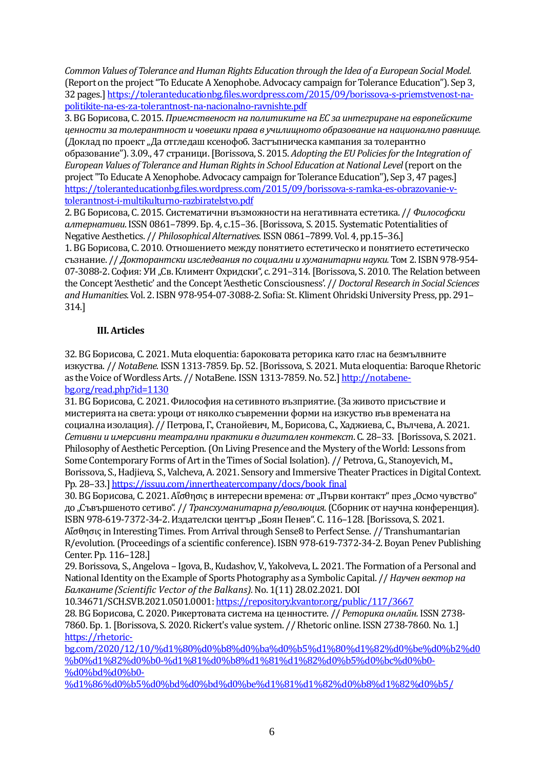*Common Values of Tolerance and Human Rights Education through the Idea of a European Social Model.* (Report on the project "To Educate A Xenophobe. Advocacy campaign for Tolerance Education"). Sep 3, 32 pages.] [https://toleranteducationbg.files.wordpress.com/2015/09/borissova-s-priemstvenost-na](https://toleranteducationbg.files.wordpress.com/2015/09/borissova-s-priemstvenost-na-politikite-na-es-za-tolerantnost-na-nacionalno-ravnishte.pdf)[politikite-na-es-za-tolerantnost-na-nacionalno-ravnishte.pdf](https://toleranteducationbg.files.wordpress.com/2015/09/borissova-s-priemstvenost-na-politikite-na-es-za-tolerantnost-na-nacionalno-ravnishte.pdf)

3. BG Борисова, С. 2015. *Приемственост на политиките на ЕС за интегриране на европейските ценности за толерантност и човешки права в училищното образование на национално равнище.* (Доклад по проект "Да отгледаш ксенофоб. Застъпническа кампания за толерантно образование"). 3.09., 47 страници. [Borissova, S. 2015. *Adopting the EU Policies for the Integration of European Values of Tolerance and Human Rights in School Education at National Level* (report on the project "To Educate A Xenophobe. Advocacy campaign for Tolerance Education"), Sep 3, 47 pages.] [https://toleranteducationbg.files.wordpress.com/2015/09/borissova-s-ramka-es-obrazovanie-v](https://toleranteducationbg.files.wordpress.com/2015/09/borissova-s-ramka-es-obrazovanie-v-tolerantnost-i-multikulturno-razbiratelstvo.pdf)[tolerantnost-i-multikulturno-razbiratelstvo.pdf](https://toleranteducationbg.files.wordpress.com/2015/09/borissova-s-ramka-es-obrazovanie-v-tolerantnost-i-multikulturno-razbiratelstvo.pdf)

2. BG Борисова, С. 2015. Систематични възможности на негативната естетика. // *Философски алтернативи*. ISSN 0861–7899. Бр. 4, с.15–36.[Borissova, S. 2015. Systematic Potentialities of Negative Aesthetics. // *Philosophical Alternatives*. ISSN0861–7899. Vol. 4, pp.15–36.]

1. BG Борисова, С. 2010. Отношението между понятието естетическо и понятието естетическо съзнание. // *Докторантски изследвания по социални и хуманитарни науки.* Том 2. ISBN 978-954- 07-3088-2. София: УИ "Св. Климент Охридски", с. 291-314. [Borissova, S. 2010. The Relation between the Concept 'Aesthetic' and the Concept 'Aesthetic Consciousness'. // *Doctoral Research in Social Sciences and Humanities*. Vol. 2. ISBN978-954-07-3088-2. Sofia: St. Kliment Ohridski University Press, pp. 291– 314.]

### **III. Articles**

32. BG Борисова, С. 2021. Muta eloquentia: бароковата реторика като глас на безмълвните изкуства. // *NotaBene*. ISSN 1313-7859. Бр. 52. [Borissova, S. 2021. Muta eloquentia: Baroque Rhetoric as the Voice of Wordless Arts. // NotaBene. ISSN 1313-7859. No. 52.] [http://notabene](http://notabene-bg.org/read.php?id=1130)[bg.org/read.php?id=1130](http://notabene-bg.org/read.php?id=1130)

31. BG Борисова, С. 2021. Философия на сетивното възприятие. (За живото присъствие и мистерията на света: уроци от няколко съвременни форми на изкуство във времената на социална изолация). // Петрова, Г., Станойевич, М., Борисова, С., Хаджиева, С., Вълчева, А. 2021. *Сетивни и имерсивнитеатрални практики в дигитален контекст*. С. 28–33. [Borissova, S. 2021. Philosophy of Aesthetic Perception. (On Living Presence and the Mystery of the World: Lessons from Some Contemporary Forms of Art in the Times of Social Isolation). // Petrova, G., Stanoyevich, M., Borissova, S., Hadjieva, S., Valcheva, A. 2021. Sensory and Immersive Theater Practices in Digital Context. Pp. 28-33.] [https://issuu.com/innertheatercompany/docs/book\\_final](https://issuu.com/innertheatercompany/docs/book_final)

30. ВС Борисова, С. 2021. Аї однок в интересни времена: от "Първи контакт" през "Осмо чувство" до "Съвършеното сетиво". // *Трансхуманитарна р/еволюция*. (Сборник от научна конференция). ISBN 978-619-7372-34-2. Издателски център "Боян Пенев". С. 116-128. [Borissova, S. 2021. Аἴσθησις in Interesting Times. From Arrival through Sense8 to Perfect Sense. // Transhumantarian R/evolution.(Proceedings of a scientific conference). ISBN 978-619-7372-34-2. Boyan Penev Publishing Center. Pp. 116–128.]

29. Borissova, S., Angelova – Igova, B., Kudashov, V., Yakolveva, L. 2021. The Formation of a Personal and National Identity on the Example of Sports Photography as a Symbolic Capital. // *Научен вектор на Балканите (Scientific Vector of the Balkans).*No. 1(11) 28.02.2021. DOI

10.34671/SCH.SVB.2021.0501.0001[: https://repository.kvantor.org/public/117/3667](https://repository.kvantor.org/public/117/3667)

28. BG Борисова, С. 2020. Рикертовата система на ценностите. // *Реторика онлайн.*ISSN 2738- 7860. Бр. 1.[Borissova, S. 2020. Rickert's value system. // Rhetoric online. ISSN 2738-7860. No. 1.] [https://rhetoric-](https://rhetoric-bg.com/2020/12/10/%d1%80%d0%b8%d0%ba%d0%b5%d1%80%d1%82%d0%be%d0%b2%d0%b0%d1%82%d0%b0-%d1%81%d0%b8%d1%81%d1%82%d0%b5%d0%bc%d0%b0-%d0%bd%d0%b0-%d1%86%d0%b5%d0%bd%d0%bd%d0%be%d1%81%d1%82%d0%b8%d1%82%d0%b5/)

[bg.com/2020/12/10/%d1%80%d0%b8%d0%ba%d0%b5%d1%80%d1%82%d0%be%d0%b2%d0](https://rhetoric-bg.com/2020/12/10/%d1%80%d0%b8%d0%ba%d0%b5%d1%80%d1%82%d0%be%d0%b2%d0%b0%d1%82%d0%b0-%d1%81%d0%b8%d1%81%d1%82%d0%b5%d0%bc%d0%b0-%d0%bd%d0%b0-%d1%86%d0%b5%d0%bd%d0%bd%d0%be%d1%81%d1%82%d0%b8%d1%82%d0%b5/) [%b0%d1%82%d0%b0-%d1%81%d0%b8%d1%81%d1%82%d0%b5%d0%bc%d0%b0-](https://rhetoric-bg.com/2020/12/10/%d1%80%d0%b8%d0%ba%d0%b5%d1%80%d1%82%d0%be%d0%b2%d0%b0%d1%82%d0%b0-%d1%81%d0%b8%d1%81%d1%82%d0%b5%d0%bc%d0%b0-%d0%bd%d0%b0-%d1%86%d0%b5%d0%bd%d0%bd%d0%be%d1%81%d1%82%d0%b8%d1%82%d0%b5/) [%d0%bd%d0%b0-](https://rhetoric-bg.com/2020/12/10/%d1%80%d0%b8%d0%ba%d0%b5%d1%80%d1%82%d0%be%d0%b2%d0%b0%d1%82%d0%b0-%d1%81%d0%b8%d1%81%d1%82%d0%b5%d0%bc%d0%b0-%d0%bd%d0%b0-%d1%86%d0%b5%d0%bd%d0%bd%d0%be%d1%81%d1%82%d0%b8%d1%82%d0%b5/)

[%d1%86%d0%b5%d0%bd%d0%bd%d0%be%d1%81%d1%82%d0%b8%d1%82%d0%b5/](https://rhetoric-bg.com/2020/12/10/%d1%80%d0%b8%d0%ba%d0%b5%d1%80%d1%82%d0%be%d0%b2%d0%b0%d1%82%d0%b0-%d1%81%d0%b8%d1%81%d1%82%d0%b5%d0%bc%d0%b0-%d0%bd%d0%b0-%d1%86%d0%b5%d0%bd%d0%bd%d0%be%d1%81%d1%82%d0%b8%d1%82%d0%b5/)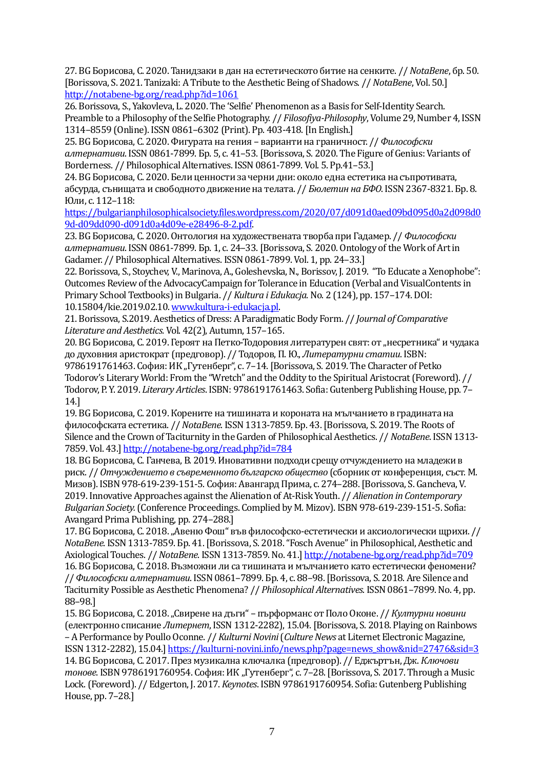27. BG Борисова, С. 2020. Танидзаки в дан на естетическото битие на сенките. // *NotaBene*, бр. 50. [Borissova, S. 2021. Tanizaki: A Tribute to the Aesthetic Being of Shadows. // *NotaBene*, Vol. 50.] <http://notabene-bg.org/read.php?id=1061>

26. Borissova, S., Yakovleva, L. 2020. The 'Selfie' Phenomenon as a Basis for Self-Identity Search. Preamble to a Philosophy of the Selfie Photography. // *Filosofiya-Philosophy*, Volume 29, Number 4, ISSN 1314–8559 (Online). ISSN0861–6302 (Print). Pp. 403-418. [In English.]

25. BG Борисова, С. 2020. Фигурата на гения – варианти на граничност. // *Философски алтернативи*. ISSN 0861-7899. Бр. 5, с. 41–53.[Borissova, S. 2020. The Figure of Genius: Variants of Borderness. // Philosophical Alternatives. ISSN 0861-7899. Vol. 5. Pp.41–53.]

24. BG Борисова, С. 2020. Бели ценности за черни дни: около една естетика на съпротивата, абсурда, сънищата и свободното движение на телата. // *Бюлетин на БФО*. ISSN 2367-8321. Бр. 8. Юли, с. 112–118:

[https://bulgarianphilosophicalsociety.files.wordpress.com/2020/07/d091d0aed09bd095d0a2d098d0](https://bulgarianphilosophicalsociety.files.wordpress.com/2020/07/d091d0aed09bd095d0a2d098d09d-d09dd090-d091d0a4d09e-e28496-8-2.pdf) [9d-d09dd090-d091d0a4d09e-e28496-8-2.pdf.](https://bulgarianphilosophicalsociety.files.wordpress.com/2020/07/d091d0aed09bd095d0a2d098d09d-d09dd090-d091d0a4d09e-e28496-8-2.pdf) 

23. BG Борисова, С. 2020. Онтология на художествената творба при Гадамер. // *Философски алтернативи*. ISSN 0861-7899. Бр. 1, с. 24–33.[Borissova, S. 2020. Ontology of the Work of Art in Gadamer. // Philosophical Alternatives. ISSN 0861-7899. Vol. 1, pp. 24–33.]

22. Borissova, S., Stoychev, V., Marinova, A., Goleshevska, N., Borissov, J. 2019. "To Educate a Xenophobe": Outcomes Review of the AdvocacyCampaign for Tolerance in Education (Verbal and VisualContents in Primary School Textbooks) in Bulgaria. // *Kultura i Edukacja*. No. 2 (124), pp. 157–174. DOI: 10.15804/kie.2019.02.10[. www.kultura-i-edukacja.pl.](http://www.kultura-i-edukacja.pl/)

21. Borissova, S.2019. Aesthetics of Dress: A Paradigmatic Body Form. // *Journal of Comparative Literature and Aesthetics.* Vol. 42(2), Autumn, 157–165.

20. ВС Борисова, С. 2019. Героят на Петко-Тодоровия литературен свят: от "несретника" и чудака до духовния аристократ (предговор). // Тодоров, П. Ю., *Литературни статии*. ISBN: 9786191761463. София: ИК "Гутенберг", с. 7-14. [Borissova, S. 2019. The Character of Petko Todorov's Literary World: From the "Wretch" and the Oddity to the Spiritual Aristocrat (Foreword). // Todorov, P. Y. 2019. *Literary Articles*. ISBN: 9786191761463. Sofia: Gutenberg Publishing House, pp. 7– 14.]

19. BG Борисова, С. 2019. Корените на тишината и короната на мълчанието в градината на философската естетика. // *NotaBene*. ISSN 1313-7859. Бр. 43. [Borissova, S. 2019. The Roots of Silence and the Crown of Taciturnity in the Garden of Philosophical Aesthetics. // *NotaBene*. ISSN 1313- 7859. Vol. 43.] <http://notabene-bg.org/read.php?id=784>

18. BG Борисова, С. Ганчева, В. 2019.Иновативни подходи срещу отчуждението на младежи в риск. // *Отчуждението в съвременното българско общество* (сборник от конференция, съст. М. Мизов). ISBN 978-619-239-151-5. София: Авангард Прима, с. 274–288.[Borissova, S. Gancheva, V. 2019. Innovative Approaches against the Alienation of At-Risk Youth. // *Alienation in Contemporary Bulgarian Society.*(Conference Proceedings. Complied by M. Mizov). ISBN 978-619-239-151-5. Sofia: Avangard Prima Publishing, pp. 274–288.]

17. ВС Борисова, С. 2018. "Авеню Фош" във философско-естетически и аксиологически щрихи. // *NotaBene*. ISSN 1313-7859. Бр. 41. [Borissova, S. 2018. "Fosch Avenue" in Philosophical, Aesthetic and Axiological Touches. // *NotaBene*. ISSN 1313-7859. No. 41.] <http://notabene-bg.org/read.php?id=709> 16. BG Борисова, С. 2018. Възможни ли са тишината и мълчанието като естетически феномени? // *Философски алтернативи*. ISSN0861–7899. Бр. 4, с. 88–98.[Borissova, S. 2018. Are Silence and Taciturnity Possible as Aesthetic Phenomena? // *Philosophical Alternatives*. ISSN 0861–7899. No. 4, pp. 88–98.]

15. ВG Борисова, С. 2018. "Свирене на дъги" – пърформанс от Поло Оконе. // *Културни новини* (електронно списание *Литернет*, ISSN1312-2282), 15.04.[Borissova, S. 2018. Playing on Rainbows – A Performance by Poullo Oconne. // *Kulturni Novini*(*Culture News* at Liternet Electronic Magazine, ISSN 1312-2282), 15.04.] [https://kulturni-novini.info/news.php?page=news\\_show&nid=27476&sid=3](https://kulturni-novini.info/news.php?page=news_show&nid=27476&sid=3) 14. BG Борисова, С. 2017. През музикална ключалка (предговор). // Еджъртън, Дж. *Ключови тонове*. ISBN 9786191760954. София: ИК "Гутенберг", с. 7-28. [Borissova, S. 2017. Through a Music Lock. (Foreword). // Edgerton, J. 2017. *Keynotes*. ISBN 9786191760954. Sofia: Gutenberg Publishing House, pp. 7–28.]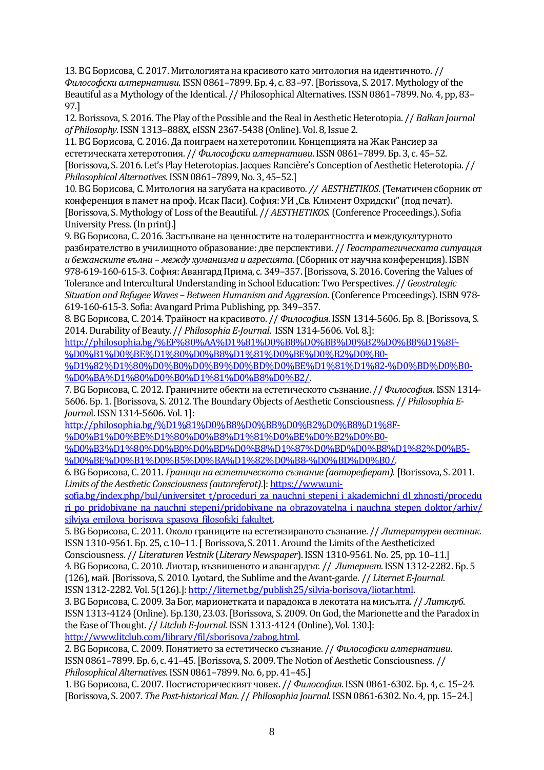13. BG Борисова, С. 2017. Митологията на красивото като митология на идентичното. // *Философски алтернативи*. ISSN0861–7899. Бр. 4, с. 83–97. [Borissova, S. 2017. Mythology of the Beautiful as a Mythology of the Identical. // Philosophical Alternatives. ISSN 0861–7899.No. 4, pp, 83– 97.]

12. Borissova, S. 2016. The Play of the Possible and the Real in Aesthetic Heterotopia. // *Balkan Journal of Philosophy*. ISSN 1313–888X, eISSN 2367-5438 (Online). Vol. 8, Issue 2.

11. BG Борисова, С. 2016. Да поиграем на хетеротопии. Концепцията на Жак Рансиер за естетическата хетеротопия. // *Философски алтернативи*. ISSN0861–7899. Бр. 3, с. 45–52. [Borissova, S. 2016. Let's Play Heterotopias. Jacques Rancière's Conception of Aesthetic Heterotopia. // *Philosophical Alternatives*. ISSN0861–7899, No. 3, 45–52.]

10. BG Борисова, С. Митология на загубата на красивото*. // AESTHETIKOS*.(Тематичен сборник от конференция в памет на проф. Исак Паси). София: УИ "Св. Климент Охридски" (под печат). [Borissova, S. Mythology of Loss of the Beautiful. // *AESTHЕTIKOS*. (Conference Proceedings.). Sofia University Press. (In print).]

9. BG Борисова, С. 2016. Застъпване на ценностите на толерантността и междукултурното разбирателство в училищното образование: две перспективи. // *Геостратегическата ситуация и бежанските вълни – между хуманизма и агресията*. (Сборник от научна конференция). ISBN 978-619-160-615-3. София: Авангард Прима, с. 349–357. [Borissova, S. 2016. Covering the Values of Tolerance and Intercultural Understanding in School Education: Two Perspectives. // *Geostrategic Situation and Refugee Waves – Between Humanism and Aggression*. (Conference Proceedings). ISBN 978- 619-160-615-3. Sofia: Avangard Prima Publishing, pp. 349–357.

8. BG Борисова, С. 2014. Трайност на красивото. // *Философия*. ISSN1314-5606. Бр. 8. [Borissova, S. 2014. Durability of Beauty. // *Philosophia E-Journal*. ISSN 1314-5606. Vol. 8.]:

[http://philosophia.bg/%EF%80%AA%D1%81%D0%B8%D0%BB%D0%B2%D0%B8%D1%8F-](http://philosophia.bg/%EF%80%AA%D1%81%D0%B8%D0%BB%D0%B2%D0%B8%D1%8F-%D0%B1%D0%BE%D1%80%D0%B8%D1%81%D0%BE%D0%B2%D0%B0-%D1%82%D1%80%D0%B0%D0%B9%D0%BD%D0%BE%D1%81%D1%82-%D0%BD%D0%B0-%D0%BA%D1%80%D0%B0%D1%81%D0%B8%D0%B2/) [%D0%B1%D0%BE%D1%80%D0%B8%D1%81%D0%BE%D0%B2%D0%B0-](http://philosophia.bg/%EF%80%AA%D1%81%D0%B8%D0%BB%D0%B2%D0%B8%D1%8F-%D0%B1%D0%BE%D1%80%D0%B8%D1%81%D0%BE%D0%B2%D0%B0-%D1%82%D1%80%D0%B0%D0%B9%D0%BD%D0%BE%D1%81%D1%82-%D0%BD%D0%B0-%D0%BA%D1%80%D0%B0%D1%81%D0%B8%D0%B2/)

[%D1%82%D1%80%D0%B0%D0%B9%D0%BD%D0%BE%D1%81%D1%82-%D0%BD%D0%B0-](http://philosophia.bg/%EF%80%AA%D1%81%D0%B8%D0%BB%D0%B2%D0%B8%D1%8F-%D0%B1%D0%BE%D1%80%D0%B8%D1%81%D0%BE%D0%B2%D0%B0-%D1%82%D1%80%D0%B0%D0%B9%D0%BD%D0%BE%D1%81%D1%82-%D0%BD%D0%B0-%D0%BA%D1%80%D0%B0%D1%81%D0%B8%D0%B2/) [%D0%BA%D1%80%D0%B0%D1%81%D0%B8%D0%B2/.](http://philosophia.bg/%EF%80%AA%D1%81%D0%B8%D0%BB%D0%B2%D0%B8%D1%8F-%D0%B1%D0%BE%D1%80%D0%B8%D1%81%D0%BE%D0%B2%D0%B0-%D1%82%D1%80%D0%B0%D0%B9%D0%BD%D0%BE%D1%81%D1%82-%D0%BD%D0%B0-%D0%BA%D1%80%D0%B0%D1%81%D0%B8%D0%B2/)

7. BG Борисова, С. 2012. Граничните обекти на естетическото съзнание. // *Философия*. ISSN1314- 5606. Бр. 1. [Borissova, S. 2012. The BoundaryObjects of Aesthetic Consciousness. // *Philosophia E-Journa*l. ISSN1314-5606. Vol. 1]:

[http://philosophia.bg/%D1%81%D0%B8%D0%BB%D0%B2%D0%B8%D1%8F-](http://philosophia.bg/%D1%81%D0%B8%D0%BB%D0%B2%D0%B8%D1%8F-%D0%B1%D0%BE%D1%80%D0%B8%D1%81%D0%BE%D0%B2%D0%B0-%D0%B3%D1%80%D0%B0%D0%BD%D0%B8%D1%87%D0%BD%D0%B8%D1%82%D0%B5-%D0%BE%D0%B1%D0%B5%D0%BA%D1%82%D0%B8-%D0%BD%D0%B0/)

[%D0%B1%D0%BE%D1%80%D0%B8%D1%81%D0%BE%D0%B2%D0%B0-](http://philosophia.bg/%D1%81%D0%B8%D0%BB%D0%B2%D0%B8%D1%8F-%D0%B1%D0%BE%D1%80%D0%B8%D1%81%D0%BE%D0%B2%D0%B0-%D0%B3%D1%80%D0%B0%D0%BD%D0%B8%D1%87%D0%BD%D0%B8%D1%82%D0%B5-%D0%BE%D0%B1%D0%B5%D0%BA%D1%82%D0%B8-%D0%BD%D0%B0/)

[%D0%B3%D1%80%D0%B0%D0%BD%D0%B8%D1%87%D0%BD%D0%B8%D1%82%D0%B5-](http://philosophia.bg/%D1%81%D0%B8%D0%BB%D0%B2%D0%B8%D1%8F-%D0%B1%D0%BE%D1%80%D0%B8%D1%81%D0%BE%D0%B2%D0%B0-%D0%B3%D1%80%D0%B0%D0%BD%D0%B8%D1%87%D0%BD%D0%B8%D1%82%D0%B5-%D0%BE%D0%B1%D0%B5%D0%BA%D1%82%D0%B8-%D0%BD%D0%B0/) [%D0%BE%D0%B1%D0%B5%D0%BA%D1%82%D0%B8-%D0%BD%D0%B0/.](http://philosophia.bg/%D1%81%D0%B8%D0%BB%D0%B2%D0%B8%D1%8F-%D0%B1%D0%BE%D1%80%D0%B8%D1%81%D0%BE%D0%B2%D0%B0-%D0%B3%D1%80%D0%B0%D0%BD%D0%B8%D1%87%D0%BD%D0%B8%D1%82%D0%B5-%D0%BE%D0%B1%D0%B5%D0%BA%D1%82%D0%B8-%D0%BD%D0%B0/)

6. BG Борисова, С. 2011. *Граници на естетическото съзнание (автореферат)*. [Borissova, S. 2011. *Limits of the Aesthetic Consciousness (autoreferat)*.]: [https://www.uni-](https://www.uni-sofia.bg/index.php/bul/universitet_t/proceduri_za_nauchni_stepeni_i_akademichni_dl_zhnosti/proceduri_po_pridobivane_na_nauchni_stepeni/pridobivane_na_obrazovatelna_i_nauchna_stepen_doktor/arhiv/silviya_emilova_borisova_spasova_filosofski_fakultet)

sofia.bg/index.php/bul/universitet t/proceduri\_za\_nauchni\_stepeni\_i\_akademichni\_dl\_zhnosti/procedu ri po pridobivane na nauchni stepeni/pridobivane na obrazovatelna i nauchna stepen doktor/arhiv/ [silviya\\_emilova\\_borisova\\_spasova\\_filosofski\\_fakultet.](https://www.uni-sofia.bg/index.php/bul/universitet_t/proceduri_za_nauchni_stepeni_i_akademichni_dl_zhnosti/proceduri_po_pridobivane_na_nauchni_stepeni/pridobivane_na_obrazovatelna_i_nauchna_stepen_doktor/arhiv/silviya_emilova_borisova_spasova_filosofski_fakultet)

5. BG Борисова, С. 2011. Около границите на естетизираното съзнание. // *Литературен вестник.*  ISSN 1310-9561. Бр. 25, с.10-11. [ Borissova, S. 2011. Around the Limits of the Aestheticized

Consciousness. // *Literaturen Vestnik* (*Literary Newspaper*). ISSN1310-9561.No. 25, pp. 10–11.]

4. BG Борисова, С. 2010. Лиотар, възвишеното и авангардът. // *Литернет*.ISSN1312-2282. Бр. 5

(126), май.[Borissova, S. 2010. Lyotard, the Sublime and the Avant-garde. // *Liternet E-Journal*. ISSN1312-2282. Vol. 5(126).][: http://liternet.bg/publish25/silvia-borisova/liotar.html.](http://liternet.bg/publish25/silvia-borisova/liotar.html)

3. BG Борисова, С. 2009. За Бог, марионетката и парадокса в лекотата на мисълта. // *Литклуб*. ISSN 1313-4124 (Online). Бр.130, 23.03.[Borissova, S. 2009. On God, the Marionette and the Paradox in the Ease of Thought. // *Litclub E-Journal*. ISSN1313-4124 (Online), Vol. 130.]: [http://www.litclub.com/library/fil/sborisova/zabog.html.](http://www.litclub.com/library/fil/sborisova/zabog.html)

2. BG Борисова, С. 2009.Понятието за естетическо съзнание. // *Философски алтернативи*. ISSN0861–7899. Бр. 6, с. 41–45. [Borissova, S. 2009. The Notion of Aesthetic Consciousness. // *Philosophical Alternatives.*ISSN0861–7899. No. 6, pp. 41–45.]

1. BG Борисова, С. 2007.Постисторическият човек. // *Философия*. ISSN0861-6302. Бр. 4, с. 15–24. [Borissova, S. 2007. *The Post-historical Man*. // *Philosophia Journal*. ISSN0861-6302. No. 4, pp. 15–24.]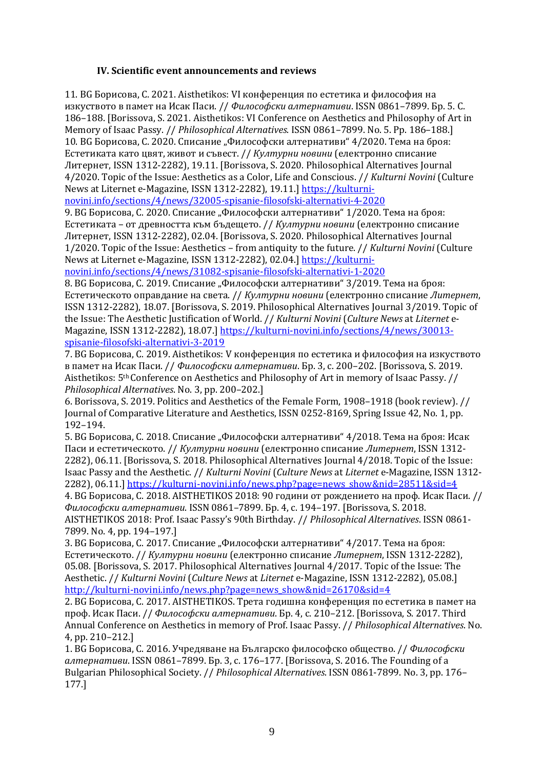#### **ІV. Scientific event announcements and reviews**

11. BG Борисова, С. 2021. Аisthetikos: VІ конференция по естетика и философия на изкуството в памет на Исак Паси. // *Философски алтернативи*. ISSN 0861–7899. Бр. 5. С. 186–188. [Borissova, S. 2021. Aisthetikos: VI Conference on Aesthetics and Philosophy of Art in Memory of Isaac Passy. // *Philosophical Alternatives*. ISSN 0861–7899. No. 5. Pp. 186–188.] 10. ВС Борисова, С. 2020. Списание "Философски алтернативи" 4/2020. Тема на броя: Естетиката като цвят, живот и съвест. // *Културни новини* (електронно списание Литернет, ISSN 1312-2282), 19.11. [Borissova, S. 2020. Philosophical Alternatives Journal 4/2020. Topic of the Issue: Aesthetics as a Color, Life and Conscious. // *Kulturni Novini* (Culture News at Liternet e-Magazine, ISSN 1312-2282), 19.11.] [https://kulturni-](https://kulturni-novini.info/sections/4/news/32005-spisanie-filosofski-alternativi-4-2020)

[novini.info/sections/4/news/32005-spisanie-filosofski-alternativi-4-2020](https://kulturni-novini.info/sections/4/news/32005-spisanie-filosofski-alternativi-4-2020)

9. BG Борисова, С. 2020. Списание "Философски алтернативи" 1/2020. Тема на броя: Естетиката – от древността към бъдещето. // *Културни новини* (електронно списание Литернет, ISSN 1312-2282), 02.04. [Borissova, S. 2020. Philosophical Alternatives Journal 1/2020. Topic of the Issue: Aesthetics – from antiquity to the future. // *Kulturni Novini* (Culture News at Liternet e-Magazine, ISSN 1312-2282), 02.04.] [https://kulturni-](https://kulturni-novini.info/sections/4/news/31082-spisanie-filosofski-alternativi-1-2020)

[novini.info/sections/4/news/31082-spisanie-filosofski-alternativi-1-2020](https://kulturni-novini.info/sections/4/news/31082-spisanie-filosofski-alternativi-1-2020)

8. ВС Борисова, С. 2019. Списание "Философски алтернативи" 3/2019. Тема на броя: Естетическото оправдание на света. // *Културни новини* (електронно списание *Литернет*, ISSN 1312-2282), 18.07. [Borissova, S. 2019. Philosophical Alternatives Journal 3/2019. Topic of the Issue: The Aesthetic Justification of World. // *Kulturni Novini* (*Culture News* at *Liternet* e-Magazine, ISSN 1312-2282), 18.07.] [https://kulturni-novini.info/sections/4/news/30013](https://kulturni-novini.info/sections/4/news/30013-spisanie-filosofski-alternativi-3-2019) [spisanie-filosofski-alternativi-3-2019](https://kulturni-novini.info/sections/4/news/30013-spisanie-filosofski-alternativi-3-2019)

7. BG Борисова, С. 2019. Аisthetikos: V конференция по естетика и философия на изкуството в памет на Исак Паси. // *Философски алтернативи*. Бр. 3, с. 200–202. [Borissova, S. 2019. Aisthetikos: 5th Conference on Aesthetics and Philosophy of Art in memory of Isaac Passy. // *Philosophical Alternatives*. No. 3, pp. 200–202.]

6. Borissova, S. 2019. Politics and Aesthetics of the Female Form, 1908–1918 (book review). // Journal of Comparative Literature and Aesthetics, ISSN 0252-8169, Spring Issue 42, No. 1, pp. 192–194.

5. ВС Борисова, С. 2018. Списание "Философски алтернативи" 4/2018. Тема на броя: Исак Паси и естетическото. // *Културни новини* (електронно списание *Литернет*, ISSN 1312- 2282), 06.11. [Borissova, S. 2018. Philosophical Alternatives Journal 4/2018. Topic of the Issue: Isaac Passy and the Aesthetic. // *Kulturni Novini* (*Culture News* at *Liternet* e-Magazine, ISSN 1312 2282), 06.11.] [https://kulturni-novini.info/news.php?page=news\\_show&nid=28511&sid=4](https://kulturni-novini.info/news.php?page=news_show&nid=28511&sid=4) 4. BG Борисова, С. 2018. AISTHETIKOS 2018: 90 години от рождението на проф. Исак Паси. // *Философски алтернативи*. ISSN 0861–7899. Бр. 4, с. 194–197. [Borissova, S. 2018. AISTHETIKOS 2018: Prof. Isaac Passy's 90th Birthday. // *Philosophical Alternatives*. ISSN 0861- 7899. No. 4, pp. 194–197.]

3. ВС Борисова, С. 2017. Списание "Философски алтернативи" 4/2017. Тема на броя: Естетическото. // *Културни новини* (електронно списание *Литернет*, ISSN 1312-2282), 05.08. [Borissova, S. 2017. Philosophical Alternatives Journal 4/2017. Topic of the Issue: The Aesthetic. // *Kulturni Novini* (*Culture News* at *Liternet* e-Magazine, ISSN 1312-2282), 05.08.] [http://kulturni-novini.info/news.php?page=news\\_show&nid=26170&sid=4](http://kulturni-novini.info/news.php?page=news_show&nid=26170&sid=4)

2. BG Борисова, С. 2017. AISTHETIKOS. Трета годишна конференция по естетика в памет на проф. Исак Паси. // *Философски алтернативи*. Бр. 4, с. 210–212. [Borissova, S. 2017. Third Annual Conference on Aesthetics in memory of Prof. Isaac Passy. // *Philosophical Alternatives*. No. 4, pp. 210–212.]

1. BG Борисова, С. 2016. Учредяване на Българско философско общество. // *Философски алтернативи*. ISSN 0861–7899. Бр. 3, с. 176–177. [Borissova, S. 2016. The Founding of a Bulgarian Philosophical Society. // *Philosophical Alternatives*. ISSN 0861-7899. No. 3, pp. 176– 177.]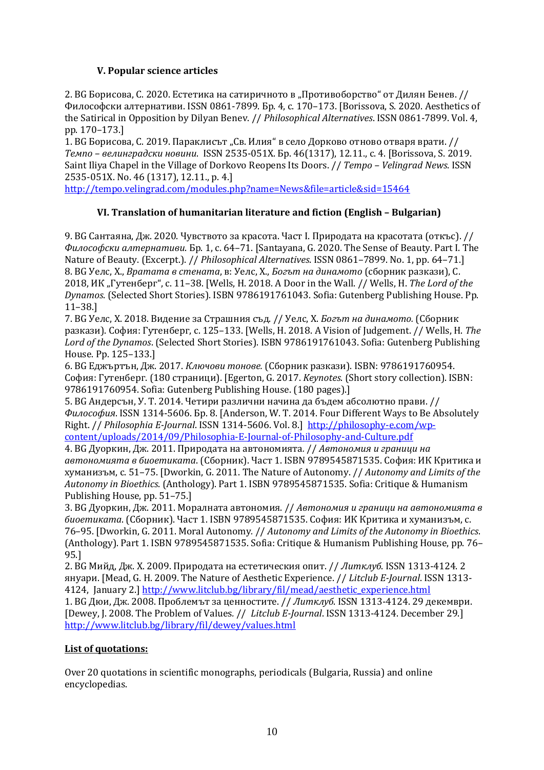## **V. Popular science articles**

2. ВС Борисова, С. 2020. Естетика на сатиричното в "Противоборство" от Дилян Бенев. // Философски алтернативи. ISSN 0861-7899. Бр. 4, с. 170–173. [Borissova, S. 2020. Aesthetics of the Satirical in Opposition by Dilyan Benev. // *Philosophical Alternatives*. ISSN 0861-7899. Vol. 4, pp. 170–173.]

1. ВС Борисова, С. 2019. Параклисът "Св. Илия" в село Дорково отново отваря врати. // *Темпо – велинградски новини*. ISSN 2535-051X. Бр. 46(1317), 12.11., с. 4. [Borissova, S. 2019. Saint Iliya Chapel in the Village of Dorkovo Reopens Its Doors. // *Tempo – Velingrad News*. ISSN 2535-051X. No. 46 (1317), 12.11., p. 4.]

<http://tempo.velingrad.com/modules.php?name=News&file=article&sid=15464>

### **VI. Translation of humanitarian literature and fiction (English – Bulgarian)**

9. BG Сантаяна, Дж. 2020. Чувството за красота. Част І. Природата на красотата (откъс). // *Философски алтернативи*. Бр. 1, с. 64–71. [Santayana, G. 2020. The Sense of Beauty. Part I. The Nature of Beauty. (Excerpt.). // *Philosophical Alternatives*. ISSN 0861–7899. No. 1, pp. 64–71.] 8. BG Уелс, Х., *Вратата в стената*, в: Уелс, Х., *Богът на динамото* (сборник разкази), С. 2018, ИК "Гутенберг", c. 11–38. [Wells, H. 2018. A Door in the Wall. // Wells, H. *The Lord of the Dynamos*. (Selected Short Stories). ISBN 9786191761043. Sofia: Gutenberg Publishing House. Pp. 11–38.]

7. BG Уелс, Х. 2018. Видение за Страшния съд. // Уелс, Х. *Богът на динамото.* (Сборник разкази). София: Гутенберг, c. 125–133. [Wells, H. 2018. A Vision of Judgement. // Wells, H. *The Lord of the Dynamos*. (Selected Short Stories). ISBN 9786191761043. Sofia: Gutenberg Publishing House. Pp. 125–133.]

6. BG Еджъртън, Дж. 2017. *Ключови тонове.* (Сборник разкази). ISBN: 9786191760954. София: Гутенберг. (180 страници). [Egerton, G. 2017. *Keynotes*. (Short story collection). ISBN: 9786191760954. Sofia: Gutenberg Publishing House. (180 pages).]

5. BG Андерсън, У. Т. 2014. Четири различни начина да бъдем абсолютно прави. // *Философия*. ISSN 1314-5606. Бр. 8. [Anderson, W. T. 2014. Four Different Ways to Be Absolutely Right. // *Philosophia E-Journal*. ISSN 1314-5606. Vol. 8.] [http://philosophy-e.com/wp](http://philosophy-e.com/wp-content/uploads/2014/09/Philosophia-E-Journal-of-Philosophy-and-Culture.pdf)[content/uploads/2014/09/Philosophia-E-Journal-of-Philosophy-and-Culture.pdf](http://philosophy-e.com/wp-content/uploads/2014/09/Philosophia-E-Journal-of-Philosophy-and-Culture.pdf)

4. BG Дуоркин, Дж. 2011. Природата на автономията*.* // *Автономия и граници на автономията в биоетиката*. (Сборник). Част 1. ISBN 9789545871535. София: ИК Критика и хуманизъм, с. 51–75. [Dworkin, G. 2011. The Nature of Autonomy. // *Autonomy and Limits of the Autonomy in Bioethics*. (Anthology). Part 1. ISBN 9789545871535. Sofia: Critique & Humanism Publishing House, pp. 51–75.]

3. BG Дуоркин, Дж. 2011. Моралната автономия. // *Автономия и граници на автономията в биоетиката*. (Сборник). Част 1. ISBN 9789545871535. София: ИК Критика и хуманизъм, с. 76–95. [Dworkin, G. 2011. Moral Autonomy*.* // *Autonomy and Limits of the Autonomy in Bioethics*. (Anthology). Part 1. ISBN 9789545871535. Sofia: Critique & Humanism Publishing House, pp. 76– 95.]

2. BG Мийд, Дж. Х. 2009. Природата на естетическия опит. // *Литклуб*. ISSN 1313-4124. 2 януари. [Mead, G. H. 2009. The Nature of Aesthetic Experience. // *Litclub E-Journal*. ISSN 1313- 4124, January 2.] [http://www.litclub.bg/library/fil/mead/aesthetic\\_experience.html](http://www.litclub.bg/library/fil/mead/aesthetic_experience.html)

1. BG Дюи, Дж. 2008. Проблемът за ценностите. // *Литклуб*. ISSN 1313-4124. 29 декември. [Dewey, J. 2008. The Problem of Values*.* // *Litclub E-Journal*. ISSN 1313-4124. December 29.] <http://www.litclub.bg/library/fil/dewey/values.html>

### **List of quotations:**

Over 20 quotations in scientific monographs, periodicals (Bulgaria, Russia) and online encyclopedias.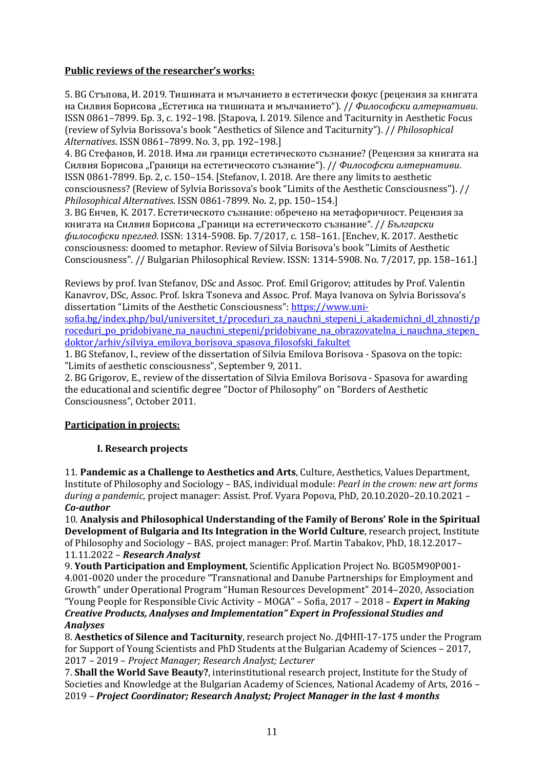## **Public reviews of the researcher's works:**

5. BG Стъпова, И. 2019. Тишината и мълчанието в естетически фокус (рецензия за книгата на Силвия Борисова "Естетика на тишината и мълчанието"). // *Философски алтернативи*. ISSN 0861–7899. Бр. 3, с. 192–198. [Stapova, I. 2019. Silence and Taciturnity in Aesthetic Focus (review of Sylvia Borissova's book "Aesthetics of Silence and Taciturnity"). // *Philosophical Alternatives*. ISSN 0861–7899. No. 3, pp. 192–198.]

4. BG Стефанов, И. 2018. Има ли граници естетическото съзнание? (Рецензия за книгата на Силвия Борисова "Граници на естетическото съзнание"). // *Философски алтернативи*. ISSN 0861-7899. Бр. 2, с. 150–154. [Stefanov, I. 2018. Are there any limits to aesthetic consciousness? (Review of Sylvia Borissova's book "Limits of the Aesthetic Consciousness"). // *Philosophical Alternatives*. ISSN 0861-7899. No. 2, pp. 150–154.]

3. BG Енчев, К. 2017. Естетическото съзнание: обречено на метафоричност. Рецензия за книгата на Силвия Борисова "Граници на естетическото съзнание". // *Български философски преглед*. ISSN: 1314-5908. Бр. 7/2017, с. 158–161. [Enchev, K. 2017. Aesthetic consciousness: doomed to metaphor. Review of Silvia Borisova's book "Limits of Aesthetic Consciousness". // Bulgarian Philosophical Review. ISSN: 1314-5908. No. 7/2017, pp. 158–161.]

Reviews by prof. Ivan Stefanov, DSc and Assoc. Prof. Emil Grigorov; attitudes by Prof. Valentin Kanavrov, DSc, Assoc. Prof. Iskra Tsoneva and Assoc. Prof. Maya Ivanova on Sylvia Borissova's dissertation "Limits of the Aesthetic Consciousness": [https://www.uni-](https://www.uni-sofia.bg/index.php/bul/universitet_t/proceduri_za_nauchni_stepeni_i_akademichni_dl_zhnosti/proceduri_po_pridobivane_na_nauchni_stepeni/pridobivane_na_obrazovatelna_i_nauchna_stepen_doktor/arhiv/silviya_emilova_borisova_spasova_filosofski_fakultet)

sofia.bg/index.php/bul/universitet t/proceduri\_za\_nauchni\_stepeni\_i\_akademichni\_dl\_zhnosti/p roceduri po pridobivane na nauchni stepeni/pridobivane na obrazovatelna i nauchna stepen [doktor/arhiv/silviya\\_emilova\\_borisova\\_spasova\\_filosofski\\_fakultet](https://www.uni-sofia.bg/index.php/bul/universitet_t/proceduri_za_nauchni_stepeni_i_akademichni_dl_zhnosti/proceduri_po_pridobivane_na_nauchni_stepeni/pridobivane_na_obrazovatelna_i_nauchna_stepen_doktor/arhiv/silviya_emilova_borisova_spasova_filosofski_fakultet)

1. BG Stefanov, I., review of the dissertation of Silvia Emilova Borisova - Spasova on the topic: "Limits of aesthetic consciousness", September 9, 2011.

2. BG Grigorov, E., review of the dissertation of Silvia Emilova Borisova - Spasova for awarding the educational and scientific degree "Doctor of Philosophy" on "Borders of Aesthetic Consciousness", October 2011.

## **Participation in projects:**

## **I. Research projects**

11. **Pandemic as a Challenge to Aesthetics and Arts**, Culture, Aesthetics, Values Department, Institute of Philosophy and Sociology – BAS, individual module: *Pearl in the crown: new art forms during a pandemic*, project manager: Assist. Prof. Vyara Popova, PhD, 20.10.2020–20.10.2021 – *Co-author*

10. **Analysis and Philosophical Understanding of the Family of Berons' Role in the Spiritual Development of Bulgaria and Its Integration in the World Culture**, research project, Institute of Philosophy and Sociology – BAS, project manager: Prof. Martin Tabakov, PhD, 18.12.2017– 11.11.2022 – *Research Analyst*

9. **Youth Participation and Employment**, Scientific Application Project No. BG05M90P001- 4.001-0020 under the procedure "Transnational and Danube Partnerships for Employment and Growth" under Operational Program "Human Resources Development" 2014–2020, Association "Young People for Responsible Civic Activity – MOGA" – Sofia, 2017 – 2018 – *Expert in Making Creative Products, Analyses and Implementation" Expert in Professional Studies and Analyses*

8. **Aesthetics of Silence and Taciturnity**, research project No. ДФНП-17-175 under the Program for Support of Young Scientists and PhD Students at the Bulgarian Academy of Sciences – 2017, 2017 – 2019 – *Project Manager; Research Analyst; Lecturer*

7. **Shall the World Save Beauty?**, interinstitutional research project, Institute for the Study of Societies and Knowledge at the Bulgarian Academy of Sciences, National Academy of Arts, 2016 – 2019 – *Project Coordinator; Research Analyst; Project Manager in the last 4 months*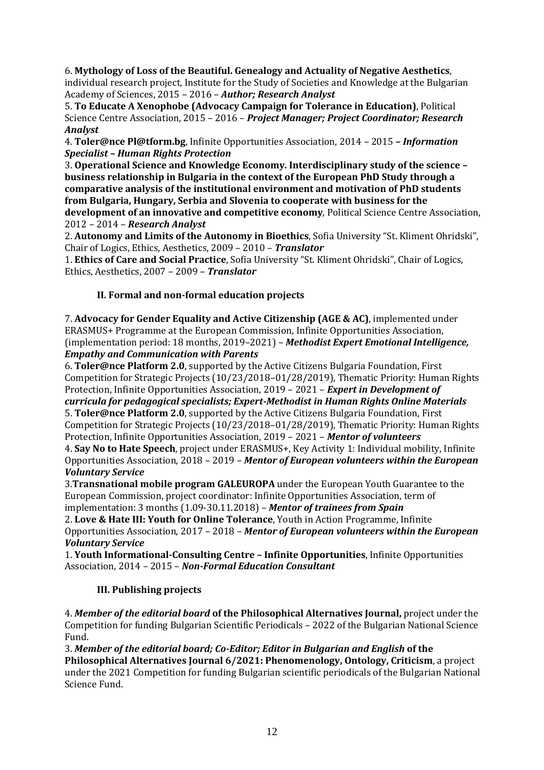6. **Mythology of Loss of the Beautiful. Genealogy and Actuality of Negative Aesthetics**, individual research project, Institute for the Study of Societies and Knowledge at the Bulgarian Academy of Sciences, 2015 – 2016 – *Author; Research Analyst*

5. **To Educate A Xenophobe (Advocacy Campaign for Tolerance in Education)**, Political Science Centre Association, 2015 – 2016 – *Project Manager; Project Coordinator; Research Analyst*

4. **Toler@nce Pl@tform.bg**, Infinite Opportunities Association, 2014 – 2015 *– Information Specialist – Human Rights Protection*

3. **Operational Science and Knowledge Economy. Interdisciplinary study of the science – business relationship in Bulgaria in the context of the European PhD Study through a comparative analysis of the institutional environment and motivation of PhD students from Bulgaria, Hungary, Serbia and Slovenia to cooperate with business for the development of an innovative and competitive economy**, Political Science Centre Association, 2012 – 2014 – *Research Analyst*

2. **Autonomy and Limits of the Autonomy in Bioethics**, Sofia University "St. Kliment Ohridski", Chair of Logics, Ethics, Aesthetics, 2009 – 2010 – *Translator*

1. **Ethics of Care and Social Practice**, Sofia University "St. Kliment Ohridski", Chair of Logics, Ethics, Aesthetics, 2007 – 2009 – *Translator*

## **II. Formal and non-formal education projects**

7. **Advocacy for Gender Equality and Active Citizenship (AGE & AC)**, implemented under ERASMUS+ Programme at the European Commission, Infinite Opportunities Association, (implementation period: 18 months, 2019–2021) – *Methodist Expert Emotional Intelligence, Empathy and Communication with Parents*

6. **Toler@nce Platform 2.0**, supported by the Active Citizens Bulgaria Foundation, First Competition for Strategic Projects (10/23/2018–01/28/2019), Thematic Priority: Human Rights Protection, Infinite Opportunities Association, 2019 – 2021 – *Expert in Development of curricula for pedagogical specialists; Expert-Methodist in Human Rights Online Materials* 5. **Toler@nce Platform 2.0**, supported by the Active Citizens Bulgaria Foundation, First Competition for Strategic Projects (10/23/2018–01/28/2019), Thematic Priority: Human Rights Protection, Infinite Opportunities Association, 2019 – 2021 – *Mentor of volunteers* 4. **Say No to Hate Speech**, project under ERASMUS+, Key Activity 1: Individual mobility, Infinite Opportunities Association, 2018 – 2019 – *Mentor of European volunteers within the European Voluntary Service*

3.**Transnational mobile program GALEUROPA** under the European Youth Guarantee to the European Commission, project coordinator: Infinite Opportunities Association, term of implementation: 3 months (1.09-30.11.2018) – *Mentor of trainees from Spain*

2. **Love & Hate III: Youth for Online Tolerance**, Youth in Action Programme, Infinite Opportunities Association, 2017 – 2018 – *Mentor of European volunteers within the European Voluntary Service*

1. **Youth Informational-Consulting Centre – Infinite Opportunities**, Infinite Opportunities Association, 2014 – 2015 – *Non-Formal Education Consultant* 

## **III. Publishing projects**

4. *Member of the editorial board* **of the Philosophical Alternatives Journal,** project under the Competition for funding Bulgarian Scientific Periodicals – 2022 of the Bulgarian National Science Fund.

3. *Member of the editorial board; Co-Editor; Editor in Bulgarian and English* **of the Philosophical Alternatives Journal 6/2021: Phenomenology, Ontology, Criticism**, a project under the 2021 Competition for funding Bulgarian scientific periodicals of the Bulgarian National Science Fund.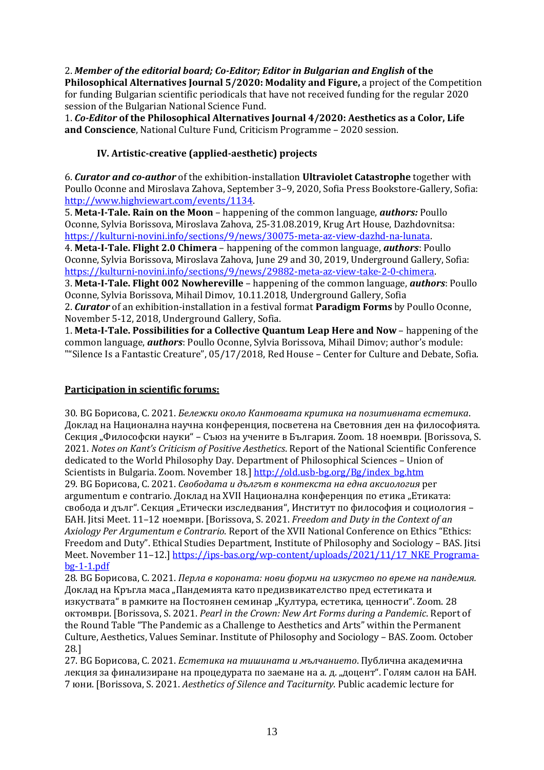2. *Member of the editorial board; Co-Editor; Editor in Bulgarian and English* **of the Philosophical Alternatives Journal 5/2020: Modality and Figure,** a project of the Competition for funding Bulgarian scientific periodicals that have not received funding for the regular 2020 session of the Bulgarian National Science Fund.

1. *Co-Editor* **of the Philosophical Alternatives Journal 4/2020: Aesthetics as a Color, Life and Conscience**, National Culture Fund, Criticism Programme – 2020 session.

## **IV. Artistic-creative (applied-aesthetic) projects**

6. *Curator and co-author* of the exhibition-installation **Ultraviolet Catastrophe** together with Poullo Oconne and Miroslava Zahova, September 3–9, 2020, Sofia Press Bookstore-Gallery, Sofia: [http://www.highviewart.com/events/1134.](http://www.highviewart.com/events/1134)

5. **Meta-I-Tale. Rain on the Moon** – happening of the common language, *authors:* Poullo Oconne, Sylvia Borissova, Miroslava Zahova, 25-31.08.2019, Krug Art House, Dazhdovnitsa: [https://kulturni-novini.info/sections/9/news/30075-meta-az-view-dazhd-na-lunata.](https://kulturni-novini.info/sections/9/news/30075-meta-az-view-dazhd-na-lunata)

4. **Meta-I-Tale. Flight 2.0 Chimera** – happening of the common language, *authors*: Poullo Oconne, Sylvia Borissova, Miroslava Zahova, June 29 and 30, 2019, Underground Gallery, Sofia: [https://kulturni-novini.info/sections/9/news/29882-meta-az-view-take-2-0-chimera.](https://kulturni-novini.info/sections/9/news/29882-meta-az-view-take-2-0-chimera)

3. **Meta-I-Tale. Flight 002 Nowhereville** – happening of the common language, *authors*: Poullo Oconne, Sylvia Borissova, Mihail Dimov, 10.11.2018, Underground Gallery, Sofia 2. *Curator* of an exhibition-installation in a festival format **Paradigm Forms** by Poullo Oconne,

November 5-12, 2018, Underground Gallery, Sofia.

1. **Meta-I-Tale. Possibilities for a Collective Quantum Leap Here and Now** – happening of the common language, *authors*: Poullo Oconne, Sylvia Borissova, Mihail Dimov; author's module: ""Silence Is a Fantastic Creature", 05/17/2018, Red House – Center for Culture and Debate, Sofia.

### **Participation in scientific forums:**

30. BG Борисова, С. 2021. *Бележки около Кантовата критика на позитивната естетика*. Доклад на Национална научна конференция, посветена на Световния ден на философията. Секция "Философски науки" – Съюз на учените в България. Zoom. 18 ноември. [Borissova. S. 2021. *Notes on Kant's Criticism of Positive Aesthetics*. Report of the National Scientific Conference dedicated to the World Philosophy Day. Department of Philosophical Sciences – Union of Scientists in Bulgaria. Zoom. November 18.] [http://old.usb-bg.org/Bg/index\\_bg.htm](http://old.usb-bg.org/Bg/index_bg.htm) 29. BG Борисова, С. 2021. *Свободата и дългът в контекста на една аксиология* per argumentum e contrario. Доклад на XVII Национална конференция по етика "Етиката: свобода и дълг". Секция "Етически изследвания", Институт по философия и социология -БАН. Jitsi Meet. 11–12 ноември. [Borissova, S. 2021. *Freedom and Duty in the Context of an Axiology Per Argumentum e Contrario*. Report of the XVII National Conference on Ethics "Ethics: Freedom and Duty". Ethical Studies Department, Institute of Philosophy and Sociology – BAS. Jitsi Meet. November 11-12.] [https://ips-bas.org/wp-content/uploads/2021/11/17\\_NKE\\_Programa](https://ips-bas.org/wp-content/uploads/2021/11/17_NKE_Programa-bg-1-1.pdf)[bg-1-1.pdf](https://ips-bas.org/wp-content/uploads/2021/11/17_NKE_Programa-bg-1-1.pdf)

28. BG Борисова, С. 2021. *Перла в короната: нови форми на изкуство по време на пандемия.* Доклад на Кръгла маса "Пандемията като предизвикателство пред естетиката и изкуствата" в рамките на Постоянен семинар "Култура, естетика, ценности". Zoom. 28 октомври. [Borissova, S. 2021. *Pearl in the Crown: New Art Forms during a Pandemic*. Report of the Round Table "The Pandemic as a Challenge to Aesthetics and Arts" within the Permanent Culture, Aesthetics, Values Seminar. Institute of Philosophy and Sociology – BAS. Zoom. October 28.]

27. BG Борисова, С. 2021. *Естетика на тишината и мълчанието*. Публична академична лекция за финализиране на процедурата по заемане на а. д. "доцент". Голям салон на БАН. 7 юни. [Borissova, S. 2021. *Aesthetics of Silence and Taciturnity*. Public academic lecture for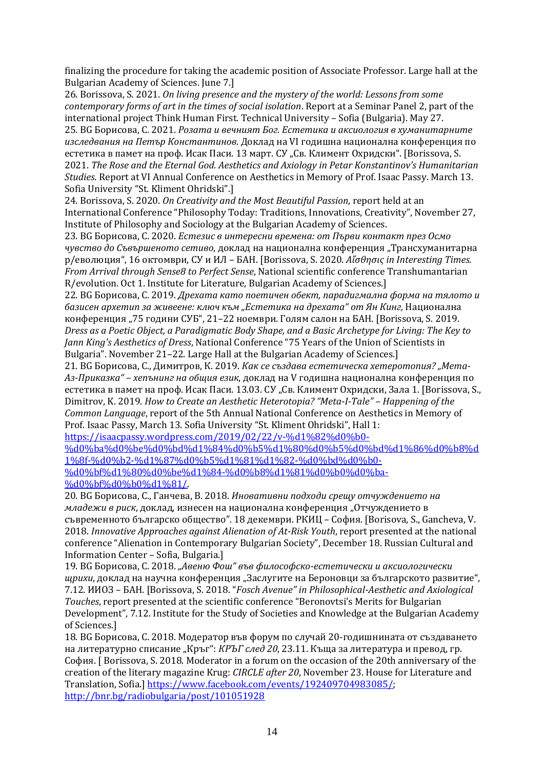finalizing the procedure for taking the academic position of Associate Professor. Large hall at the Bulgarian Academy of Sciences. June 7.]

26. Borissova, S. 2021. *On living presence and the mystery of the world: Lessons from some contemporary forms of art in the times of social isolation*. Report at a Seminar Panel 2, part of the international project Think Human First. Technical University – Sofia (Bulgaria). May 27. 25. BG Борисова, С. 2021. *Розата и вечният Бог. Естетика и аксиология в хуманитарните изследвания на Петър Константинов*. Доклад на VІ годишна национална конференция по естетика в памет на проф. Исак Паси. 13 март. СУ "Св. Климент Охридски". [Borissova, S. 2021. *The Rose and the Eternal God. Aesthetics and Axiology in Petar Konstantinov's Humanitarian Studies*. Report at VI Annual Conference on Aesthetics in Memory of Prof. Isaac Passy. March 13. Sofia University "St. Kliment Ohridski".]

24. Borissova, S. 2020. *On Creativity and the Most Beautiful Passion*, report held at an International Conference "Philosophy Today: Traditions, Innovations, Creativity", November 27, Institute of Philosophy and Sociology at the Bulgarian Academy of Sciences.

23. BG Борисова, С. 2020. *Естезис в интересни времена: от Първи контакт през Осмо чувство до Съвършеното сетиво*, доклад на национална конференция "Трансхуманитарна р/еволюция", 16 октомври, СУ и ИЛ – БАН. [Borissova, S. 2020. *Аἴσθησις in Interesting Times. From Arrival through Sense8 to Perfect Sense*, National scientific conference Transhumantarian R/evolution. Oct 1. Institute for Literature, Bulgarian Academy of Sciences.]

22. BG Борисова, С. 2019. *Дрехата като поетичен обект, парадигмална форма на тялото и базисен архетип за живеене: ключ към "Естетика на дрехата" от Ян Кинг,* Национална конференция "75 години СУБ", 21-22 ноември. Голям салон на БАН. [Borissova, S. 2019. *Dress as a Poetic Object, a Paradigmatic Body Shape, and a Basic Archetype for Living: The Key to Jann King's Aesthetics of Dress*, National Conference "75 Years of the Union of Scientists in Bulgaria". November 21–22. Large Hall at the Bulgarian Academy of Sciences.]

21. BG Борисова, С., Димитров, К. 2019. *Как се създава естетическа хетеротопия? "Мета-Аз-Приказка" – хепънинг на общия език*, доклад на V годишна национална конференция по естетика в памет на проф. Исак Паси. 13.03. СУ "Св. Климент Охридски, Зала 1. [Borissova, S., Dimitrov, K. 2019. *How to Create an Aesthetic Heterotopia? "Meta-I-Tale" – Happening of the Common Language*, report of the 5th Annual National Conference on Aesthetics in Memory of Prof. Isaac Passy, March 13. Sofia University "St. Kliment Ohridski", Hall 1:

[https://isaacpassy.wordpress.com/2019/02/22/v-%d1%82%d0%b0-](https://isaacpassy.wordpress.com/2019/02/22/v-%d1%82%d0%b0-%d0%ba%d0%be%d0%bd%d1%84%d0%b5%d1%80%d0%b5%d0%bd%d1%86%d0%b8%d1%8f-%d0%b2-%d1%87%d0%b5%d1%81%d1%82-%d0%bd%d0%b0-%d0%bf%d1%80%d0%be%d1%84-%d0%b8%d1%81%d0%b0%d0%ba-%d0%bf%d0%b0%d1%81/) [%d0%ba%d0%be%d0%bd%d1%84%d0%b5%d1%80%d0%b5%d0%bd%d1%86%d0%b8%d](https://isaacpassy.wordpress.com/2019/02/22/v-%d1%82%d0%b0-%d0%ba%d0%be%d0%bd%d1%84%d0%b5%d1%80%d0%b5%d0%bd%d1%86%d0%b8%d1%8f-%d0%b2-%d1%87%d0%b5%d1%81%d1%82-%d0%bd%d0%b0-%d0%bf%d1%80%d0%be%d1%84-%d0%b8%d1%81%d0%b0%d0%ba-%d0%bf%d0%b0%d1%81/) [1%8f-%d0%b2-%d1%87%d0%b5%d1%81%d1%82-%d0%bd%d0%b0-](https://isaacpassy.wordpress.com/2019/02/22/v-%d1%82%d0%b0-%d0%ba%d0%be%d0%bd%d1%84%d0%b5%d1%80%d0%b5%d0%bd%d1%86%d0%b8%d1%8f-%d0%b2-%d1%87%d0%b5%d1%81%d1%82-%d0%bd%d0%b0-%d0%bf%d1%80%d0%be%d1%84-%d0%b8%d1%81%d0%b0%d0%ba-%d0%bf%d0%b0%d1%81/) [%d0%bf%d1%80%d0%be%d1%84-%d0%b8%d1%81%d0%b0%d0%ba-](https://isaacpassy.wordpress.com/2019/02/22/v-%d1%82%d0%b0-%d0%ba%d0%be%d0%bd%d1%84%d0%b5%d1%80%d0%b5%d0%bd%d1%86%d0%b8%d1%8f-%d0%b2-%d1%87%d0%b5%d1%81%d1%82-%d0%bd%d0%b0-%d0%bf%d1%80%d0%be%d1%84-%d0%b8%d1%81%d0%b0%d0%ba-%d0%bf%d0%b0%d1%81/) [%d0%bf%d0%b0%d1%81/.](https://isaacpassy.wordpress.com/2019/02/22/v-%d1%82%d0%b0-%d0%ba%d0%be%d0%bd%d1%84%d0%b5%d1%80%d0%b5%d0%bd%d1%86%d0%b8%d1%8f-%d0%b2-%d1%87%d0%b5%d1%81%d1%82-%d0%bd%d0%b0-%d0%bf%d1%80%d0%be%d1%84-%d0%b8%d1%81%d0%b0%d0%ba-%d0%bf%d0%b0%d1%81/)

20. BG Борисова, С., Ганчева, В. 2018. *Иновативни подходи срещу отчуждението на младежи в риск*, доклад, изнесен на национална конференция "Отчуждението в съвременното българско общество". 18 декември. РКИЦ – София. [Borisova, S., Gancheva, V. 2018. *Innovative Approaches against Alienation of At-Risk Youth*, report presented at the national conference "Alienation in Contemporary Bulgarian Society", December 18. Russian Cultural and Information Center – Sofia, Bulgaria.]

19. BG Борисова, С. 2018. *"Авеню Фош" във философско-естетически и аксиологически щрихи*, доклад на научна конференция "Заслугите на Бероновци за българското развитие", 7.12. ИИОЗ – БАН. [Borissova, S. 2018. "*Fosch Avenue" in Philosophical-Aesthetic and Axiological Touches*, report presented at the scientific conference "Beronovtsi's Merits for Bulgarian Development", 7.12. Institute for the Study of Societies and Knowledge at the Bulgarian Academy of Sciences.]

18. BG Борисова, С. 2018. Mодератор във форум по случай 20-годишнината от създаването на литературно списание "Кръг": *КРЪГ след 20*, 23.11. Къща за литература и превод, гр. София. [ Borissova, S. 2018. Moderator in a forum on the occasion of the 20th anniversary of the creation of the literary magazine Krug: *CIRCLE after 20*, November 23. House for Literature and Translation, Sofia.] [https://www.facebook.com/events/192409704983085/;](https://www.facebook.com/events/192409704983085/) <http://bnr.bg/radiobulgaria/post/101051928>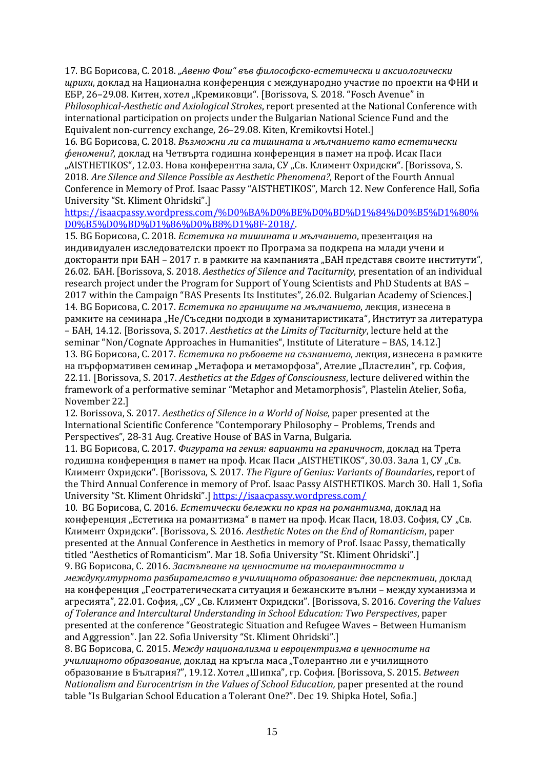17. BG Борисова, С. 2018. *"Авеню Фош" във философско-естетически и аксиологически щрихи*, доклад на Национална конференция с международно участие по проекти на ФНИ и ЕБР, 26-29.08. Китен, хотел "Кремиковци". [Borissova, S. 2018. "Fosch Avenue" in *Philosophical-Aesthetic and Axiological Strokes*, report presented at the National Conference with international participation on projects under the Bulgarian National Science Fund and the Equivalent non-currency exchange, 26–29.08. Kiten, Kremikovtsi Hotel.]

16. BG Борисова, С. 2018. *Възможни ли са тишината и мълчанието като естетически феномени?*, доклад на Четвърта годишна конференция в памет на проф. Исак Паси "AISTHETIKOS", 12.03. Нова конферентна зала, СУ "Св. Климент Охридски". [Borissova, S.] 2018. *Are Silence and Silence Possible as Aesthetic Phenomena?*, Report of the Fourth Annual Conference in Memory of Prof. Isaac Passy "AISTHETIKOS", March 12. New Conference Hall, Sofia University "St. Kliment Ohridski".]

[https://isaacpassy.wordpress.com/%D0%BA%D0%BE%D0%BD%D1%84%D0%B5%D1%80%](https://isaacpassy.wordpress.com/%D0%BA%D0%BE%D0%BD%D1%84%D0%B5%D1%80%D0%B5%D0%BD%D1%86%D0%B8%D1%8F-2018/) [D0%B5%D0%BD%D1%86%D0%B8%D1%8F-2018/.](https://isaacpassy.wordpress.com/%D0%BA%D0%BE%D0%BD%D1%84%D0%B5%D1%80%D0%B5%D0%BD%D1%86%D0%B8%D1%8F-2018/)

15. BG Борисова, C. 2018. *Естетика на тишината и мълчанието*, презентация на индивидуален изследователски проект по Програма за подкрепа на млади учени и докторанти при БАН – 2017 г. в рамките на кампанията "БАН представя своите институти", 26.02. БАН. [Borissova, S. 2018. *Aesthetics of Silence and Taciturnity*, presentation of an individual research project under the Program for Support of Young Scientists and PhD Students at BAS – 2017 within the Campaign "BAS Presents Its Institutes", 26.02. Bulgarian Academy of Sciences.] 14. BG Борисова, С. 2017. *Естетика по границите на мълчанието*, лекция, изнесена в рамките на семинара "Не/Съседни подходи в хуманитаристиката", Институт за литература – БАН, 14.12. [Borissova, S. 2017. *Aesthetics at the Limits of Taciturnity*, lecture held at the seminar "Non/Cognate Approaches in Humanities", Institute of Literature – BAS, 14.12.] 13. BG Борисова, С. 2017. *Естетика по ръбовете на съзнанието*, лекция, изнесена в рамките на пърформативен семинар "Метафора и метаморфоза", Ателие "Пластелин", гр. София, 22.11. [Borissova, S. 2017. *Aesthetics at the Edges of Consciousness*, lecture delivered within the framework of a performative seminar "Metaphor and Metamorphosis", Plastelin Atelier, Sofia, November 22.]

12. Borissova, S. 2017. *Aesthetics of Silence in a World of Noise*, paper presented at the International Scientific Conference "Contemporary Philosophy – Problems, Trends and Perspectives", 28-31 Aug. Creative House of BAS in Varna, Bulgaria.

11. BG Борисова, С. 2017. *Фигурата на гения: варианти на граничност*, доклад на Трета годишна конференция в памет на проф. Исак Паси "AISTHETIKOS", 30.03. Зала 1, СУ "Св. Климент Охридски". [Borissova, S. 2017. *The Figure of Genius: Variants of Boundaries*, report of the Third Annual Conference in memory of Prof. Isaac Passy AISTHETIKOS. March 30. Hall 1, Sofia University "St. Kliment Ohridski".] <https://isaacpassy.wordpress.com/>

10. BG Борисова, С. 2016. *Естетически бележки по края на романтизма*, доклад на конференция "Естетика на романтизма" в памет на проф. Исак Паси, 18.03. София, СУ "Св. Климент Охридски". [Borissova, S. 2016. *Aesthetic Notes on the End of Romanticism*, paper presented at the Annual Conference in Aesthetics in memory of Prof. Isaac Passy, thematically titled "Aesthetics of Romanticism". Mar 18. Sofia University "St. Kliment Ohridski".]

9. BG Борисова, С. 2016. *Застъпване на ценностите на толерантността и междукултурното разбирателство в училищното образование: две перспективи*, доклад на конференция "Геостратегическата ситуация и бежанските вълни – между хуманизма и агресията", 22.01. София, "СУ "Св. Климент Охридски". [Borissova, S. 2016. *Covering the Values of Tolerance and Intercultural Understanding in School Education: Two Perspectives*, paper presented at the conference "Geostrategic Situation and Refugee Waves – Between Humanism and Aggression". Jan 22. Sofia University "St. Kliment Ohridski".]

8. BG Борисова, С. 2015. *Между национализма и евроцентризма в ценностите на*  училищното образование, доклад на кръгла маса "Толерантно ли е училищното образование в България?", 19.12. Xотел "Шипка", гр. София. [Borissova, S. 2015. *Between Nationalism and Eurocentrism in the Values of School Education,* paper presented at the round table "Is Bulgarian School Education a Tolerant One?". Dec 19. Shipka Hotel, Sofia.]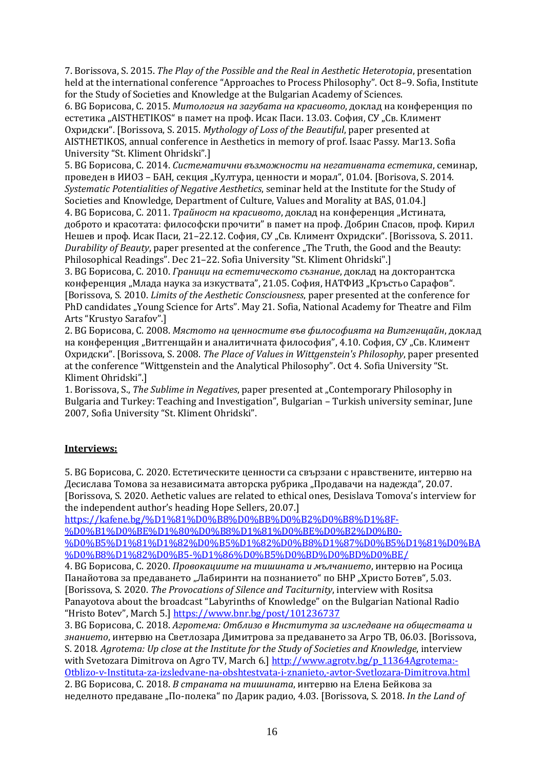7. Borissova, S. 2015. *The Play of the Possible and the Real in Aesthetic Heterotopia*, presentation held at the international conference "Approaches to Process Philosophy". Oct 8–9. Sofia, Institute for the Study of Societies and Knowledge at the Bulgarian Academy of Sciences.

6. BG Борисова, С. 2015. *Митология на загубата на красивото*, доклад на конференция по естетика "AISTHETIKOS" в памет на проф. Исак Паси. 13.03. София, СУ "Св. Климент Охридски". [Borissova, S. 2015. *Mythology of Loss of the Beautiful*, paper presented at AISTHETIKOS, annual conference in Aesthetics in memory of prof. Isaac Passy. Mar13. Sofia University "St. Kliment Ohridski".]

5. BG Борисова, С. 2014. *Систематични възможности на негативната естетика*, семинар, проведен в ИИОЗ – БАН, секция "Култура, ценности и морал", 01.04. [Borisova, S. 2014. *Systematic Potentialities of Negative Aesthetics*, seminar held at the Institute for the Study of

Societies and Knowledge, Department of Culture, Values and Morality at BAS, 01.04.] 4. BG Борисова, С. 2011. *Трайност на красивото*, доклад на конференция "Истината, доброто и красотата: философски прочити" в памет на проф. Добрин Спасов, проф. Кирил Нешев и проф. Исак Паси, 21–22.12. София, СУ "Св. Климент Охридски". [Borissova, S. 2011. *Durability of Beauty*, paper presented at the conference "The Truth, the Good and the Beauty: Philosophical Readings". Dec 21–22. Sofia University "St. Kliment Ohridski".]

3. BG Борисова, С. 2010. *Граници на естетическото съзнание*, доклад на докторантска конференция "Млада наука за изкуствата", 21.05. София, НАТФИЗ "Кръстьо Сарафов". [Borissova, S*.* 2010. *Limits of the Aesthetic Consciousness*, paper presented at the conference for PhD candidates "Young Science for Arts". May 21. Sofia, National Academy for Theatre and Film Arts "Krustyo Sarafov".]

2. BG Борисова, С. 2008. *Мястото на ценностите във философията на Витгенщайн*, доклад на конференция "Витгенщайн и аналитичната философия", 4.10. София, СУ "Св. Климент Охридски". [Borissova, S. 2008. *The Place of Values in Wittgenstein's Philosophy*, paper presented at the conference "Wittgenstein and the Analytical Philosophy". Oct 4. Sofia University "St. Kliment Ohridski".]

1. Borissova, S., *The Sublime in Negatives*, paper presented at "Contemporary Philosophy in Bulgaria and Turkey: Teaching and Investigation", Bulgarian – Turkish university seminar, June 2007, Sofia University "St. Kliment Ohridski".

## **Interviews:**

5. BG Борисова, С. 2020. Естетическите ценности са свързани с нравствените, интервю на Десислава Томова за независимата авторска рубрика "Продавачи на надежда", 20.07. [Borissova, S. 2020. Aethetic values are related to ethical ones, Desislava Tomova's interview for the independent author's heading Hope Sellers, 20.07.]

[https://kafene.bg/%D1%81%D0%B8%D0%BB%D0%B2%D0%B8%D1%8F-](https://kafene.bg/%D1%81%D0%B8%D0%BB%D0%B2%D0%B8%D1%8F-%D0%B1%D0%BE%D1%80%D0%B8%D1%81%D0%BE%D0%B2%D0%B0-%D0%B5%D1%81%D1%82%D0%B5%D1%82%D0%B8%D1%87%D0%B5%D1%81%D0%BA%D0%B8%D1%82%D0%B5-%D1%86%D0%B5%D0%BD%D0%BD%D0%BE/)

[%D0%B1%D0%BE%D1%80%D0%B8%D1%81%D0%BE%D0%B2%D0%B0-](https://kafene.bg/%D1%81%D0%B8%D0%BB%D0%B2%D0%B8%D1%8F-%D0%B1%D0%BE%D1%80%D0%B8%D1%81%D0%BE%D0%B2%D0%B0-%D0%B5%D1%81%D1%82%D0%B5%D1%82%D0%B8%D1%87%D0%B5%D1%81%D0%BA%D0%B8%D1%82%D0%B5-%D1%86%D0%B5%D0%BD%D0%BD%D0%BE/) [%D0%B5%D1%81%D1%82%D0%B5%D1%82%D0%B8%D1%87%D0%B5%D1%81%D0%BA](https://kafene.bg/%D1%81%D0%B8%D0%BB%D0%B2%D0%B8%D1%8F-%D0%B1%D0%BE%D1%80%D0%B8%D1%81%D0%BE%D0%B2%D0%B0-%D0%B5%D1%81%D1%82%D0%B5%D1%82%D0%B8%D1%87%D0%B5%D1%81%D0%BA%D0%B8%D1%82%D0%B5-%D1%86%D0%B5%D0%BD%D0%BD%D0%BE/)

[%D0%B8%D1%82%D0%B5-%D1%86%D0%B5%D0%BD%D0%BD%D0%BE/](https://kafene.bg/%D1%81%D0%B8%D0%BB%D0%B2%D0%B8%D1%8F-%D0%B1%D0%BE%D1%80%D0%B8%D1%81%D0%BE%D0%B2%D0%B0-%D0%B5%D1%81%D1%82%D0%B5%D1%82%D0%B8%D1%87%D0%B5%D1%81%D0%BA%D0%B8%D1%82%D0%B5-%D1%86%D0%B5%D0%BD%D0%BD%D0%BE/)

4. BG Борисова, С. 2020. *Провокациите на тишината и мълчанието*, интервю на Росица Панайотова за предаването "Лабиринти на познанието" по БНР "Христо Ботев", 5.03. [Borissova, S. 2020. *The Provocations of Silence and Taciturnity*, interview with Rositsa Panayotova about the broadcast "Labyrinths of Knowledge" on the Bulgarian National Radio "Hristo Botev", March 5.] <https://www.bnr.bg/post/101236737>

3. BG Борисова, С. 2018. *Агротема: Отблизо в Института за изследване на обществата и знанието*, интервю на Светлозара Димитрова за предаването за Агро ТВ, 06.03. [Borissova, S. 2018. *Agrotema: Up close at the Institute for the Study of Societies and Knowledge*, interview with Svetozara Dimitrova on Agro TV, March 6.] [http://www.agrotv.bg/p\\_11364Agrotema:-](http://www.agrotv.bg/p_11364Agrotema:-Otblizo-v-Instituta-za-izsledvane-na-obshtestvata-i-znanieto,-avtor-Svetlozara-Dimitrova.html) [Otblizo-v-Instituta-za-izsledvane-na-obshtestvata-i-znanieto,-avtor-Svetlozara-Dimitrova.html](http://www.agrotv.bg/p_11364Agrotema:-Otblizo-v-Instituta-za-izsledvane-na-obshtestvata-i-znanieto,-avtor-Svetlozara-Dimitrova.html) 2. BG Борисова, С. 2018. *В страната на тишината*, интервю на Елена Бейкова за неделното предаване "По-полека" по Дарик радио, 4.03. [Borissova, S. 2018. *In the Land of*